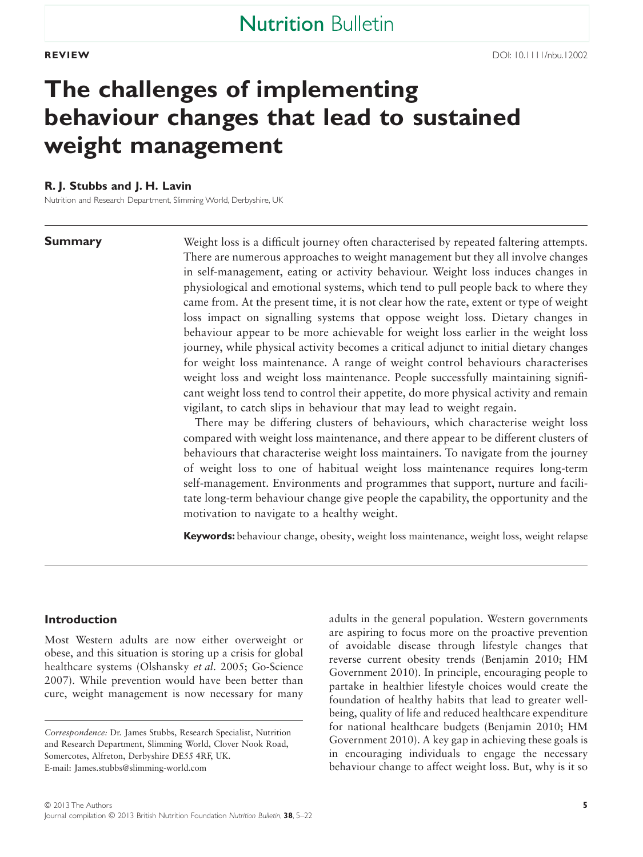# **The challenges of implementing behaviour changes that lead to sustained weight management**

#### **R. J. Stubbs and J. H. Lavin**

Nutrition and Research Department, Slimming World, Derbyshire, UK

**Summary** Weight loss is a difficult journey often characterised by repeated faltering attempts. There are numerous approaches to weight management but they all involve changes in self-management, eating or activity behaviour. Weight loss induces changes in physiological and emotional systems, which tend to pull people back to where they came from. At the present time, it is not clear how the rate, extent or type of weight loss impact on signalling systems that oppose weight loss. Dietary changes in behaviour appear to be more achievable for weight loss earlier in the weight loss journey, while physical activity becomes a critical adjunct to initial dietary changes for weight loss maintenance. A range of weight control behaviours characterises weight loss and weight loss maintenance. People successfully maintaining significant weight loss tend to control their appetite, do more physical activity and remain vigilant, to catch slips in behaviour that may lead to weight regain.

> There may be differing clusters of behaviours, which characterise weight loss compared with weight loss maintenance, and there appear to be different clusters of behaviours that characterise weight loss maintainers. To navigate from the journey of weight loss to one of habitual weight loss maintenance requires long-term self-management. Environments and programmes that support, nurture and facilitate long-term behaviour change give people the capability, the opportunity and the motivation to navigate to a healthy weight.

> **Keywords:** behaviour change, obesity, weight loss maintenance, weight loss, weight relapse

#### **Introduction**

Most Western adults are now either overweight or obese, and this situation is storing up a crisis for global healthcare systems (Olshansky *et al*. 2005; Go-Science 2007). While prevention would have been better than cure, weight management is now necessary for many

adults in the general population. Western governments are aspiring to focus more on the proactive prevention of avoidable disease through lifestyle changes that reverse current obesity trends (Benjamin 2010; HM Government 2010). In principle, encouraging people to partake in healthier lifestyle choices would create the foundation of healthy habits that lead to greater wellbeing, quality of life and reduced healthcare expenditure for national healthcare budgets (Benjamin 2010; HM Government 2010). A key gap in achieving these goals is in encouraging individuals to engage the necessary behaviour change to affect weight loss. But, why is it so

*Correspondence:* Dr. James Stubbs, Research Specialist, Nutrition and Research Department, Slimming World, Clover Nook Road, Somercotes, Alfreton, Derbyshire DE55 4RF, UK. E-mail: James.stubbs@slimming-world.com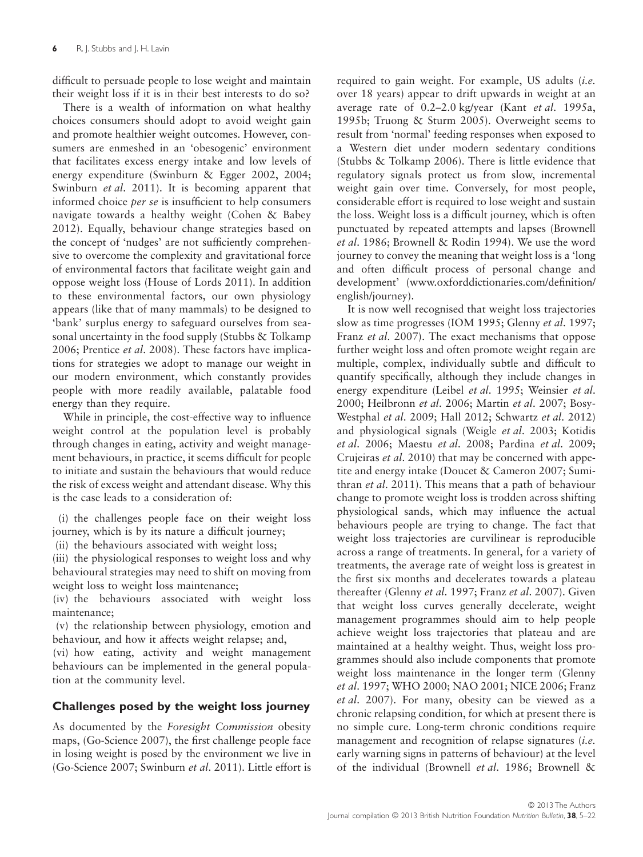difficult to persuade people to lose weight and maintain their weight loss if it is in their best interests to do so?

There is a wealth of information on what healthy choices consumers should adopt to avoid weight gain and promote healthier weight outcomes. However, consumers are enmeshed in an 'obesogenic' environment that facilitates excess energy intake and low levels of energy expenditure (Swinburn & Egger 2002, 2004; Swinburn *et al*. 2011). It is becoming apparent that informed choice *per se* is insufficient to help consumers navigate towards a healthy weight (Cohen & Babey 2012). Equally, behaviour change strategies based on the concept of 'nudges' are not sufficiently comprehensive to overcome the complexity and gravitational force of environmental factors that facilitate weight gain and oppose weight loss (House of Lords 2011). In addition to these environmental factors, our own physiology appears (like that of many mammals) to be designed to 'bank' surplus energy to safeguard ourselves from seasonal uncertainty in the food supply (Stubbs & Tolkamp 2006; Prentice *et al*. 2008). These factors have implications for strategies we adopt to manage our weight in our modern environment, which constantly provides people with more readily available, palatable food energy than they require.

While in principle, the cost-effective way to influence weight control at the population level is probably through changes in eating, activity and weight management behaviours, in practice, it seems difficult for people to initiate and sustain the behaviours that would reduce the risk of excess weight and attendant disease. Why this is the case leads to a consideration of:

(i) the challenges people face on their weight loss journey, which is by its nature a difficult journey;

(ii) the behaviours associated with weight loss;

(iii) the physiological responses to weight loss and why behavioural strategies may need to shift on moving from weight loss to weight loss maintenance;

(iv) the behaviours associated with weight loss maintenance;

(v) the relationship between physiology, emotion and behaviour, and how it affects weight relapse; and,

(vi) how eating, activity and weight management behaviours can be implemented in the general population at the community level.

# **Challenges posed by the weight loss journey**

As documented by the *Foresight Commission* obesity maps, (Go-Science 2007), the first challenge people face in losing weight is posed by the environment we live in (Go-Science 2007; Swinburn *et al*. 2011). Little effort is required to gain weight. For example, US adults (*i.e.* over 18 years) appear to drift upwards in weight at an average rate of 0.2–2.0 kg/year (Kant *et al*. 1995a, 1995b; Truong & Sturm 2005). Overweight seems to result from 'normal' feeding responses when exposed to a Western diet under modern sedentary conditions (Stubbs & Tolkamp 2006). There is little evidence that regulatory signals protect us from slow, incremental weight gain over time. Conversely, for most people, considerable effort is required to lose weight and sustain the loss. Weight loss is a difficult journey, which is often punctuated by repeated attempts and lapses (Brownell *et al*. 1986; Brownell & Rodin 1994). We use the word journey to convey the meaning that weight loss is a 'long and often difficult process of personal change and development' (www.oxforddictionaries.com/definition/ english/journey).

It is now well recognised that weight loss trajectories slow as time progresses (IOM 1995; Glenny *et al*. 1997; Franz *et al*. 2007). The exact mechanisms that oppose further weight loss and often promote weight regain are multiple, complex, individually subtle and difficult to quantify specifically, although they include changes in energy expenditure (Leibel *et al*. 1995; Weinsier *et al*. 2000; Heilbronn *et al*. 2006; Martin *et al*. 2007; Bosy-Westphal *et al*. 2009; Hall 2012; Schwartz *et al*. 2012) and physiological signals (Weigle *et al*. 2003; Kotidis *et al*. 2006; Maestu *et al*. 2008; Pardina *et al*. 2009; Crujeiras *et al*. 2010) that may be concerned with appetite and energy intake (Doucet & Cameron 2007; Sumithran *et al*. 2011). This means that a path of behaviour change to promote weight loss is trodden across shifting physiological sands, which may influence the actual behaviours people are trying to change. The fact that weight loss trajectories are curvilinear is reproducible across a range of treatments. In general, for a variety of treatments, the average rate of weight loss is greatest in the first six months and decelerates towards a plateau thereafter (Glenny *et al*. 1997; Franz *et al*. 2007). Given that weight loss curves generally decelerate, weight management programmes should aim to help people achieve weight loss trajectories that plateau and are maintained at a healthy weight. Thus, weight loss programmes should also include components that promote weight loss maintenance in the longer term (Glenny *et al*. 1997; WHO 2000; NAO 2001; NICE 2006; Franz *et al*. 2007). For many, obesity can be viewed as a chronic relapsing condition, for which at present there is no simple cure. Long-term chronic conditions require management and recognition of relapse signatures (*i.e.* early warning signs in patterns of behaviour) at the level of the individual (Brownell *et al*. 1986; Brownell &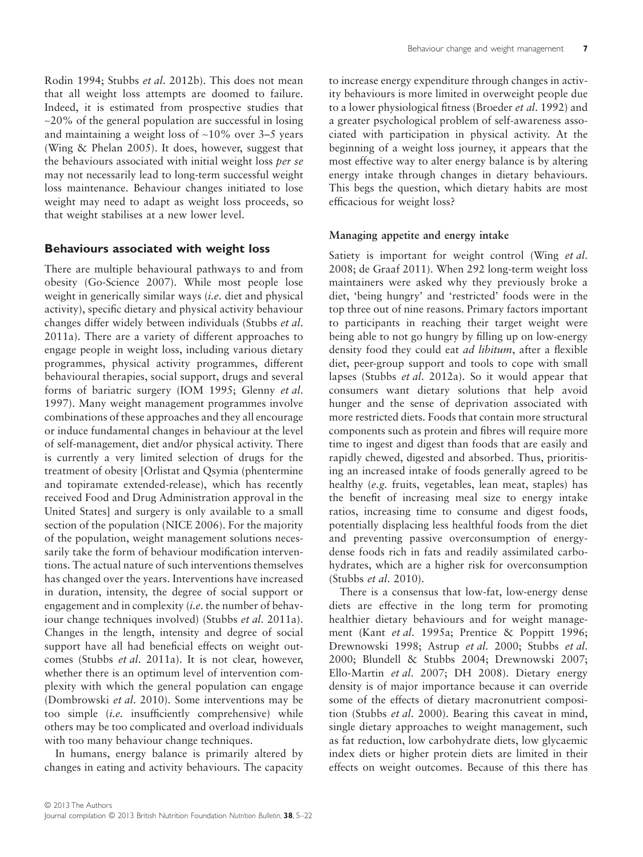Rodin 1994; Stubbs *et al*. 2012b). This does not mean that all weight loss attempts are doomed to failure. Indeed, it is estimated from prospective studies that  $\sim$ 20% of the general population are successful in losing and maintaining a weight loss of  $~10\%$  over 3–5 years (Wing & Phelan 2005). It does, however, suggest that the behaviours associated with initial weight loss *per se* may not necessarily lead to long-term successful weight loss maintenance. Behaviour changes initiated to lose weight may need to adapt as weight loss proceeds, so that weight stabilises at a new lower level.

### **Behaviours associated with weight loss**

There are multiple behavioural pathways to and from obesity (Go-Science 2007). While most people lose weight in generically similar ways (*i.e.* diet and physical activity), specific dietary and physical activity behaviour changes differ widely between individuals (Stubbs *et al*. 2011a). There are a variety of different approaches to engage people in weight loss, including various dietary programmes, physical activity programmes, different behavioural therapies, social support, drugs and several forms of bariatric surgery (IOM 1995; Glenny *et al*. 1997). Many weight management programmes involve combinations of these approaches and they all encourage or induce fundamental changes in behaviour at the level of self-management, diet and/or physical activity. There is currently a very limited selection of drugs for the treatment of obesity [Orlistat and Qsymia (phentermine and topiramate extended-release), which has recently received Food and Drug Administration approval in the United States] and surgery is only available to a small section of the population (NICE 2006). For the majority of the population, weight management solutions necessarily take the form of behaviour modification interventions. The actual nature of such interventions themselves has changed over the years. Interventions have increased in duration, intensity, the degree of social support or engagement and in complexity (*i.e.* the number of behaviour change techniques involved) (Stubbs *et al*. 2011a). Changes in the length, intensity and degree of social support have all had beneficial effects on weight outcomes (Stubbs *et al*. 2011a). It is not clear, however, whether there is an optimum level of intervention complexity with which the general population can engage (Dombrowski *et al*. 2010). Some interventions may be too simple (*i.e.* insufficiently comprehensive) while others may be too complicated and overload individuals with too many behaviour change techniques.

In humans, energy balance is primarily altered by changes in eating and activity behaviours. The capacity

to increase energy expenditure through changes in activity behaviours is more limited in overweight people due to a lower physiological fitness (Broeder *et al*. 1992) and a greater psychological problem of self-awareness associated with participation in physical activity. At the beginning of a weight loss journey, it appears that the most effective way to alter energy balance is by altering energy intake through changes in dietary behaviours. This begs the question, which dietary habits are most efficacious for weight loss?

#### **Managing appetite and energy intake**

Satiety is important for weight control (Wing *et al*. 2008; de Graaf 2011). When 292 long-term weight loss maintainers were asked why they previously broke a diet, 'being hungry' and 'restricted' foods were in the top three out of nine reasons. Primary factors important to participants in reaching their target weight were being able to not go hungry by filling up on low-energy density food they could eat *ad libitum*, after a flexible diet, peer-group support and tools to cope with small lapses (Stubbs *et al*. 2012a). So it would appear that consumers want dietary solutions that help avoid hunger and the sense of deprivation associated with more restricted diets. Foods that contain more structural components such as protein and fibres will require more time to ingest and digest than foods that are easily and rapidly chewed, digested and absorbed. Thus, prioritising an increased intake of foods generally agreed to be healthy (*e.g.* fruits, vegetables, lean meat, staples) has the benefit of increasing meal size to energy intake ratios, increasing time to consume and digest foods, potentially displacing less healthful foods from the diet and preventing passive overconsumption of energydense foods rich in fats and readily assimilated carbohydrates, which are a higher risk for overconsumption (Stubbs *et al*. 2010).

There is a consensus that low-fat, low-energy dense diets are effective in the long term for promoting healthier dietary behaviours and for weight management (Kant *et al*. 1995a; Prentice & Poppitt 1996; Drewnowski 1998; Astrup *et al*. 2000; Stubbs *et al*. 2000; Blundell & Stubbs 2004; Drewnowski 2007; Ello-Martin *et al*. 2007; DH 2008). Dietary energy density is of major importance because it can override some of the effects of dietary macronutrient composition (Stubbs *et al*. 2000). Bearing this caveat in mind, single dietary approaches to weight management, such as fat reduction, low carbohydrate diets, low glycaemic index diets or higher protein diets are limited in their effects on weight outcomes. Because of this there has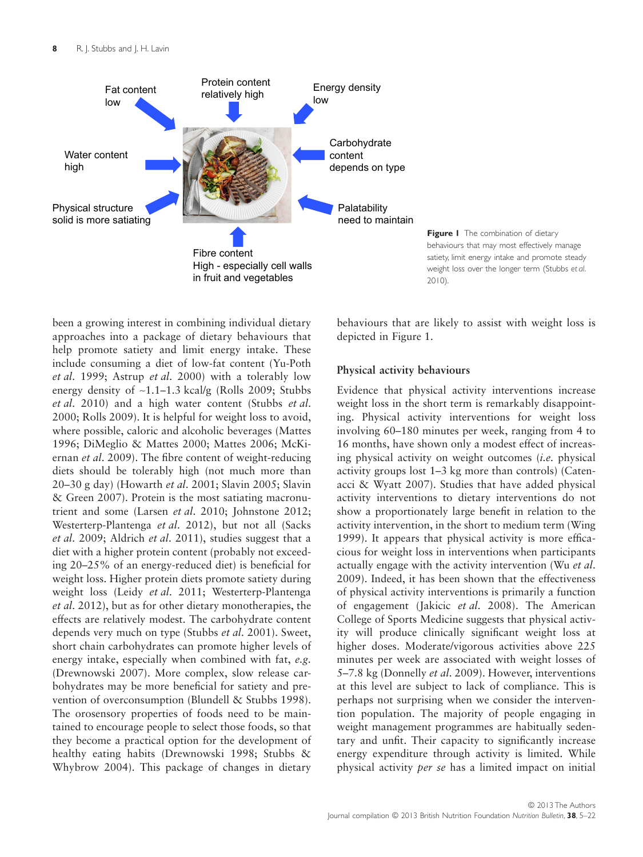

**Figure I** The combination of dietary behaviours that may most effectively manage satiety, limit energy intake and promote steady weight loss over the longer term (Stubbs *et al*. 2010).

been a growing interest in combining individual dietary approaches into a package of dietary behaviours that help promote satiety and limit energy intake. These include consuming a diet of low-fat content (Yu-Poth *et al*. 1999; Astrup *et al*. 2000) with a tolerably low energy density of  $\sim$ 1.1–1.3 kcal/g (Rolls 2009; Stubbs *et al*. 2010) and a high water content (Stubbs *et al*. 2000; Rolls 2009). It is helpful for weight loss to avoid, where possible, caloric and alcoholic beverages (Mattes 1996; DiMeglio & Mattes 2000; Mattes 2006; McKiernan *et al*. 2009). The fibre content of weight-reducing diets should be tolerably high (not much more than 20–30 g day) (Howarth *et al*. 2001; Slavin 2005; Slavin & Green 2007). Protein is the most satiating macronutrient and some (Larsen *et al*. 2010; Johnstone 2012; Westerterp-Plantenga *et al*. 2012), but not all (Sacks *et al*. 2009; Aldrich *et al*. 2011), studies suggest that a diet with a higher protein content (probably not exceeding 20–25% of an energy-reduced diet) is beneficial for weight loss. Higher protein diets promote satiety during weight loss (Leidy *et al*. 2011; Westerterp-Plantenga *et al*. 2012), but as for other dietary monotherapies, the effects are relatively modest. The carbohydrate content depends very much on type (Stubbs *et al*. 2001). Sweet, short chain carbohydrates can promote higher levels of energy intake, especially when combined with fat, *e.g.* (Drewnowski 2007). More complex, slow release carbohydrates may be more beneficial for satiety and prevention of overconsumption (Blundell & Stubbs 1998). The orosensory properties of foods need to be maintained to encourage people to select those foods, so that they become a practical option for the development of healthy eating habits (Drewnowski 1998; Stubbs & Whybrow 2004). This package of changes in dietary

behaviours that are likely to assist with weight loss is depicted in Figure 1.

### **Physical activity behaviours**

Evidence that physical activity interventions increase weight loss in the short term is remarkably disappointing. Physical activity interventions for weight loss involving 60–180 minutes per week, ranging from 4 to 16 months, have shown only a modest effect of increasing physical activity on weight outcomes (*i.e.* physical activity groups lost 1–3 kg more than controls) (Catenacci & Wyatt 2007). Studies that have added physical activity interventions to dietary interventions do not show a proportionately large benefit in relation to the activity intervention, in the short to medium term (Wing 1999). It appears that physical activity is more efficacious for weight loss in interventions when participants actually engage with the activity intervention (Wu *et al*. 2009). Indeed, it has been shown that the effectiveness of physical activity interventions is primarily a function of engagement (Jakicic *et al*. 2008). The American College of Sports Medicine suggests that physical activity will produce clinically significant weight loss at higher doses. Moderate/vigorous activities above 225 minutes per week are associated with weight losses of 5–7.8 kg (Donnelly *et al*. 2009). However, interventions at this level are subject to lack of compliance. This is perhaps not surprising when we consider the intervention population. The majority of people engaging in weight management programmes are habitually sedentary and unfit. Their capacity to significantly increase energy expenditure through activity is limited. While physical activity *per se* has a limited impact on initial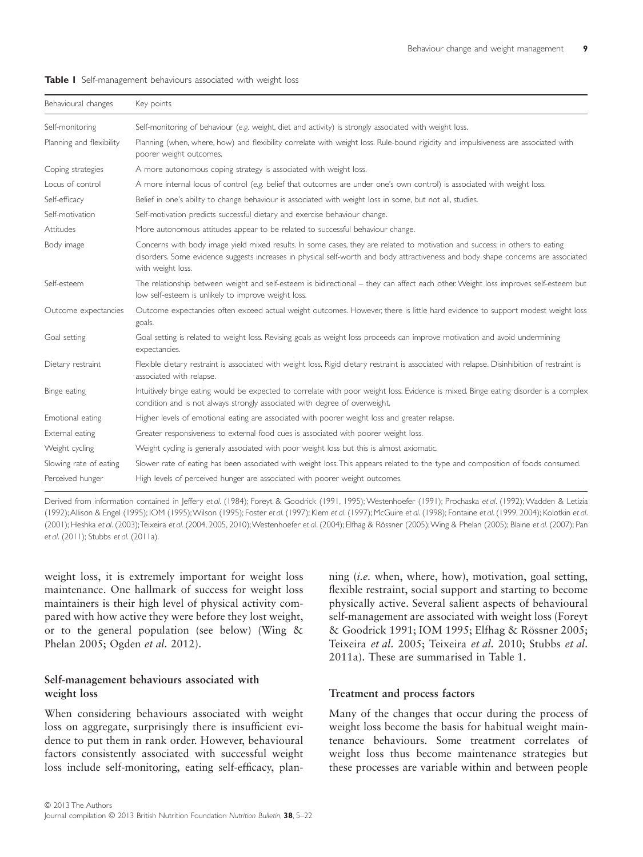| Behavioural changes      | Key points                                                                                                                                                                                                                                                                             |
|--------------------------|----------------------------------------------------------------------------------------------------------------------------------------------------------------------------------------------------------------------------------------------------------------------------------------|
| Self-monitoring          | Self-monitoring of behaviour (e.g. weight, diet and activity) is strongly associated with weight loss.                                                                                                                                                                                 |
| Planning and flexibility | Planning (when, where, how) and flexibility correlate with weight loss. Rule-bound rigidity and impulsiveness are associated with<br>poorer weight outcomes.                                                                                                                           |
| Coping strategies        | A more autonomous coping strategy is associated with weight loss.                                                                                                                                                                                                                      |
| Locus of control         | A more internal locus of control (e.g. belief that outcomes are under one's own control) is associated with weight loss.                                                                                                                                                               |
| Self-efficacy            | Belief in one's ability to change behaviour is associated with weight loss in some, but not all, studies.                                                                                                                                                                              |
| Self-motivation          | Self-motivation predicts successful dietary and exercise behaviour change.                                                                                                                                                                                                             |
| Attitudes                | More autonomous attitudes appear to be related to successful behaviour change.                                                                                                                                                                                                         |
| Body image               | Concerns with body image yield mixed results. In some cases, they are related to motivation and success; in others to eating<br>disorders. Some evidence suggests increases in physical self-worth and body attractiveness and body shape concerns are associated<br>with weight loss. |
| Self-esteem              | The relationship between weight and self-esteem is bidirectional – they can affect each other. Weight loss improves self-esteem but<br>low self-esteem is unlikely to improve weight loss.                                                                                             |
| Outcome expectancies     | Outcome expectancies often exceed actual weight outcomes. However, there is little hard evidence to support modest weight loss<br>goals.                                                                                                                                               |
| Goal setting             | Goal setting is related to weight loss. Revising goals as weight loss proceeds can improve motivation and avoid undermining<br>expectancies.                                                                                                                                           |
| Dietary restraint        | Flexible dietary restraint is associated with weight loss. Rigid dietary restraint is associated with relapse. Disinhibition of restraint is<br>associated with relapse.                                                                                                               |
| Binge eating             | Intuitively binge eating would be expected to correlate with poor weight loss. Evidence is mixed. Binge eating disorder is a complex<br>condition and is not always strongly associated with degree of overweight.                                                                     |
| Emotional eating         | Higher levels of emotional eating are associated with poorer weight loss and greater relapse.                                                                                                                                                                                          |
| External eating          | Greater responsiveness to external food cues is associated with poorer weight loss.                                                                                                                                                                                                    |
| Weight cycling           | Weight cycling is generally associated with poor weight loss but this is almost axiomatic.                                                                                                                                                                                             |
| Slowing rate of eating   | Slower rate of eating has been associated with weight loss. This appears related to the type and composition of foods consumed.                                                                                                                                                        |
| Perceived hunger         | High levels of perceived hunger are associated with poorer weight outcomes.                                                                                                                                                                                                            |
|                          |                                                                                                                                                                                                                                                                                        |

#### **Table 1** Self-management behaviours associated with weight loss

Derived from information contained in Jeffery *et al*. (1984); Foreyt & Goodrick (1991, 1995); Westenhoefer (1991); Prochaska *et al*. (1992); Wadden & Letizia (1992);Allison & Engel (1995); IOM (1995);Wilson (1995); Foster *et al*. (1997); Klem *et al*. (1997); McGuire *et al*. (1998); Fontaine *et al*. (1999, 2004); Kolotkin *et al*. (2001); Heshka *et al*. (2003);Teixeira *et al*. (2004, 2005, 2010);Westenhoefer *et al*. (2004); Elfhag & Rössner (2005);Wing & Phelan (2005); Blaine *et al*. (2007); Pan *et al*. (2011); Stubbs *et al*. (2011a).

weight loss, it is extremely important for weight loss maintenance. One hallmark of success for weight loss maintainers is their high level of physical activity compared with how active they were before they lost weight, or to the general population (see below) (Wing & Phelan 2005; Ogden *et al*. 2012).

#### **Self-management behaviours associated with weight loss**

When considering behaviours associated with weight loss on aggregate, surprisingly there is insufficient evidence to put them in rank order. However, behavioural factors consistently associated with successful weight loss include self-monitoring, eating self-efficacy, plan-

ning (*i.e.* when, where, how), motivation, goal setting, flexible restraint, social support and starting to become physically active. Several salient aspects of behavioural self-management are associated with weight loss (Foreyt & Goodrick 1991; IOM 1995; Elfhag & Rössner 2005; Teixeira *et al*. 2005; Teixeira *et al*. 2010; Stubbs *et al*. 2011a). These are summarised in Table 1.

#### **Treatment and process factors**

Many of the changes that occur during the process of weight loss become the basis for habitual weight maintenance behaviours. Some treatment correlates of weight loss thus become maintenance strategies but these processes are variable within and between people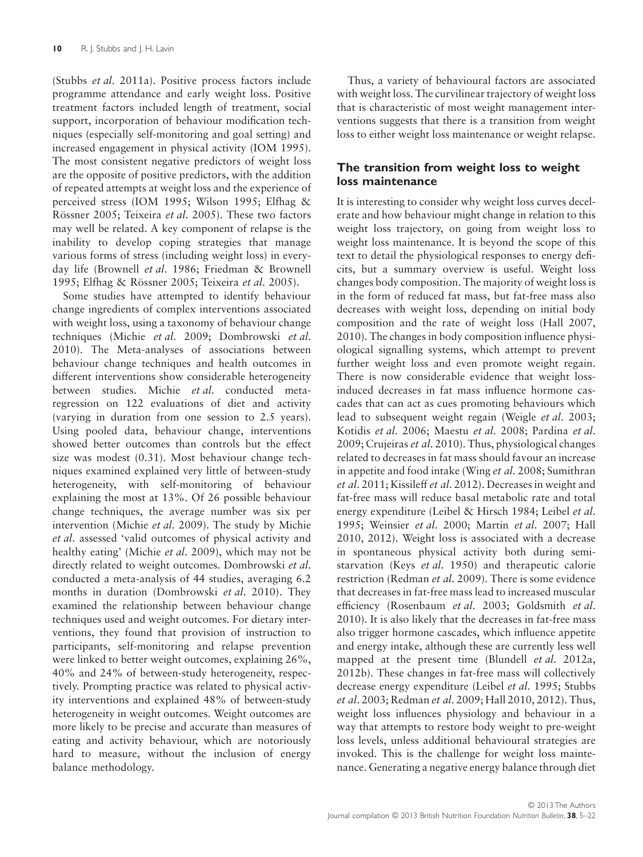(Stubbs *et al*. 2011a). Positive process factors include programme attendance and early weight loss. Positive treatment factors included length of treatment, social support, incorporation of behaviour modification techniques (especially self-monitoring and goal setting) and increased engagement in physical activity (IOM 1995). The most consistent negative predictors of weight loss are the opposite of positive predictors, with the addition of repeated attempts at weight loss and the experience of perceived stress (IOM 1995; Wilson 1995; Elfhag & Rössner 2005; Teixeira *et al*. 2005). These two factors may well be related. A key component of relapse is the inability to develop coping strategies that manage various forms of stress (including weight loss) in everyday life (Brownell *et al*. 1986; Friedman & Brownell 1995; Elfhag & Rössner 2005; Teixeira *et al*. 2005).

Some studies have attempted to identify behaviour change ingredients of complex interventions associated with weight loss, using a taxonomy of behaviour change techniques (Michie *et al*. 2009; Dombrowski *et al*. 2010). The Meta-analyses of associations between behaviour change techniques and health outcomes in different interventions show considerable heterogeneity between studies. Michie *et al*. conducted metaregression on 122 evaluations of diet and activity (varying in duration from one session to 2.5 years). Using pooled data, behaviour change, interventions showed better outcomes than controls but the effect size was modest (0.31). Most behaviour change techniques examined explained very little of between-study heterogeneity, with self-monitoring of behaviour explaining the most at 13%. Of 26 possible behaviour change techniques, the average number was six per intervention (Michie *et al*. 2009). The study by Michie *et al*. assessed 'valid outcomes of physical activity and healthy eating' (Michie *et al*. 2009), which may not be directly related to weight outcomes. Dombrowski *et al*. conducted a meta-analysis of 44 studies, averaging 6.2 months in duration (Dombrowski *et al*. 2010). They examined the relationship between behaviour change techniques used and weight outcomes. For dietary interventions, they found that provision of instruction to participants, self-monitoring and relapse prevention were linked to better weight outcomes, explaining 26%, 40% and 24% of between-study heterogeneity, respectively. Prompting practice was related to physical activity interventions and explained 48% of between-study heterogeneity in weight outcomes. Weight outcomes are more likely to be precise and accurate than measures of eating and activity behaviour, which are notoriously hard to measure, without the inclusion of energy balance methodology.

Thus, a variety of behavioural factors are associated with weight loss. The curvilinear trajectory of weight loss that is characteristic of most weight management interventions suggests that there is a transition from weight loss to either weight loss maintenance or weight relapse.

# **The transition from weight loss to weight loss maintenance**

It is interesting to consider why weight loss curves decelerate and how behaviour might change in relation to this weight loss trajectory, on going from weight loss to weight loss maintenance. It is beyond the scope of this text to detail the physiological responses to energy deficits, but a summary overview is useful. Weight loss changes body composition. The majority of weight loss is in the form of reduced fat mass, but fat-free mass also decreases with weight loss, depending on initial body composition and the rate of weight loss (Hall 2007, 2010). The changes in body composition influence physiological signalling systems, which attempt to prevent further weight loss and even promote weight regain. There is now considerable evidence that weight lossinduced decreases in fat mass influence hormone cascades that can act as cues promoting behaviours which lead to subsequent weight regain (Weigle *et al*. 2003; Kotidis *et al*. 2006; Maestu *et al*. 2008; Pardina *et al*. 2009; Crujeiras *et al*. 2010). Thus, physiological changes related to decreases in fat mass should favour an increase in appetite and food intake (Wing *et al*. 2008; Sumithran *et al*. 2011; Kissileff *et al*. 2012). Decreases in weight and fat-free mass will reduce basal metabolic rate and total energy expenditure (Leibel & Hirsch 1984; Leibel *et al*. 1995; Weinsier *et al*. 2000; Martin *et al*. 2007; Hall 2010, 2012). Weight loss is associated with a decrease in spontaneous physical activity both during semistarvation (Keys *et al*. 1950) and therapeutic calorie restriction (Redman *et al*. 2009). There is some evidence that decreases in fat-free mass lead to increased muscular efficiency (Rosenbaum *et al*. 2003; Goldsmith *et al*. 2010). It is also likely that the decreases in fat-free mass also trigger hormone cascades, which influence appetite and energy intake, although these are currently less well mapped at the present time (Blundell *et al*. 2012a, 2012b). These changes in fat-free mass will collectively decrease energy expenditure (Leibel *et al*. 1995; Stubbs *et al*. 2003; Redman *et al*. 2009; Hall 2010, 2012). Thus, weight loss influences physiology and behaviour in a way that attempts to restore body weight to pre-weight loss levels, unless additional behavioural strategies are invoked. This is the challenge for weight loss maintenance. Generating a negative energy balance through diet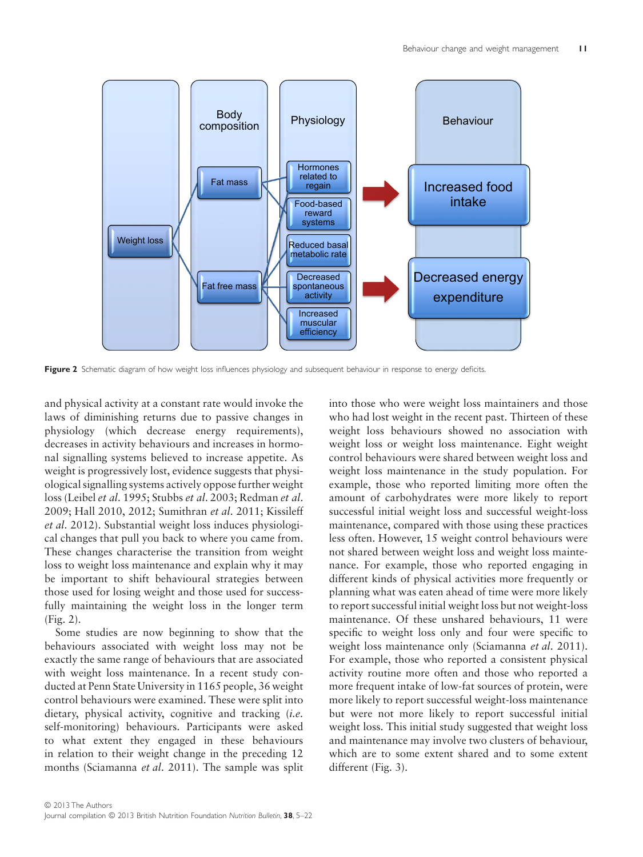

Figure 2 Schematic diagram of how weight loss influences physiology and subsequent behaviour in response to energy deficits.

and physical activity at a constant rate would invoke the laws of diminishing returns due to passive changes in physiology (which decrease energy requirements), decreases in activity behaviours and increases in hormonal signalling systems believed to increase appetite. As weight is progressively lost, evidence suggests that physiological signalling systems actively oppose further weight loss (Leibel *et al*. 1995; Stubbs *et al*. 2003; Redman *et al*. 2009; Hall 2010, 2012; Sumithran *et al*. 2011; Kissileff *et al*. 2012). Substantial weight loss induces physiological changes that pull you back to where you came from. These changes characterise the transition from weight loss to weight loss maintenance and explain why it may be important to shift behavioural strategies between those used for losing weight and those used for successfully maintaining the weight loss in the longer term (Fig. 2).

Some studies are now beginning to show that the behaviours associated with weight loss may not be exactly the same range of behaviours that are associated with weight loss maintenance. In a recent study conducted at Penn State University in 1165 people, 36 weight control behaviours were examined. These were split into dietary, physical activity, cognitive and tracking (*i.e.* self-monitoring) behaviours. Participants were asked to what extent they engaged in these behaviours in relation to their weight change in the preceding 12 months (Sciamanna *et al*. 2011). The sample was split into those who were weight loss maintainers and those who had lost weight in the recent past. Thirteen of these weight loss behaviours showed no association with weight loss or weight loss maintenance. Eight weight control behaviours were shared between weight loss and weight loss maintenance in the study population. For example, those who reported limiting more often the amount of carbohydrates were more likely to report successful initial weight loss and successful weight-loss maintenance, compared with those using these practices less often. However, 15 weight control behaviours were not shared between weight loss and weight loss maintenance. For example, those who reported engaging in different kinds of physical activities more frequently or planning what was eaten ahead of time were more likely to report successful initial weight loss but not weight-loss maintenance. Of these unshared behaviours, 11 were specific to weight loss only and four were specific to weight loss maintenance only (Sciamanna *et al*. 2011). For example, those who reported a consistent physical activity routine more often and those who reported a more frequent intake of low-fat sources of protein, were more likely to report successful weight-loss maintenance but were not more likely to report successful initial weight loss. This initial study suggested that weight loss and maintenance may involve two clusters of behaviour, which are to some extent shared and to some extent different (Fig. 3).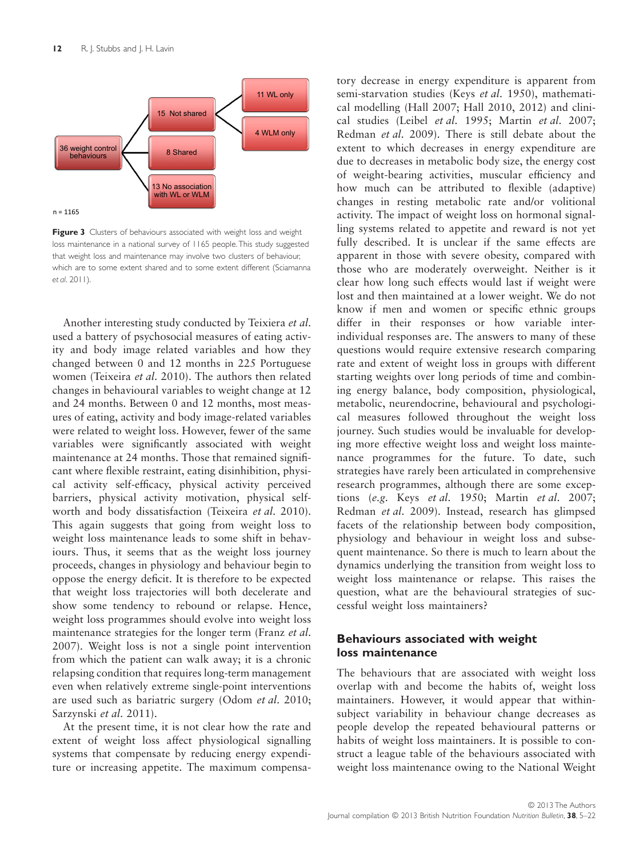

**Figure 3** Clusters of behaviours associated with weight loss and weight loss maintenance in a national survey of 1165 people.This study suggested that weight loss and maintenance may involve two clusters of behaviour, which are to some extent shared and to some extent different (Sciamanna *et al*. 2011).

Another interesting study conducted by Teixiera *et al*. used a battery of psychosocial measures of eating activity and body image related variables and how they changed between 0 and 12 months in 225 Portuguese women (Teixeira *et al*. 2010). The authors then related changes in behavioural variables to weight change at 12 and 24 months. Between 0 and 12 months, most measures of eating, activity and body image-related variables were related to weight loss. However, fewer of the same variables were significantly associated with weight maintenance at 24 months. Those that remained significant where flexible restraint, eating disinhibition, physical activity self-efficacy, physical activity perceived barriers, physical activity motivation, physical selfworth and body dissatisfaction (Teixeira *et al*. 2010). This again suggests that going from weight loss to weight loss maintenance leads to some shift in behaviours. Thus, it seems that as the weight loss journey proceeds, changes in physiology and behaviour begin to oppose the energy deficit. It is therefore to be expected that weight loss trajectories will both decelerate and show some tendency to rebound or relapse. Hence, weight loss programmes should evolve into weight loss maintenance strategies for the longer term (Franz *et al*. 2007). Weight loss is not a single point intervention from which the patient can walk away; it is a chronic relapsing condition that requires long-term management even when relatively extreme single-point interventions are used such as bariatric surgery (Odom *et al*. 2010; Sarzynski *et al*. 2011).

At the present time, it is not clear how the rate and extent of weight loss affect physiological signalling systems that compensate by reducing energy expenditure or increasing appetite. The maximum compensatory decrease in energy expenditure is apparent from semi-starvation studies (Keys *et al*. 1950), mathematical modelling (Hall 2007; Hall 2010, 2012) and clinical studies (Leibel *et al*. 1995; Martin *et al*. 2007; Redman *et al*. 2009). There is still debate about the extent to which decreases in energy expenditure are due to decreases in metabolic body size, the energy cost of weight-bearing activities, muscular efficiency and how much can be attributed to flexible (adaptive) changes in resting metabolic rate and/or volitional activity. The impact of weight loss on hormonal signalling systems related to appetite and reward is not yet fully described. It is unclear if the same effects are apparent in those with severe obesity, compared with those who are moderately overweight. Neither is it clear how long such effects would last if weight were lost and then maintained at a lower weight. We do not know if men and women or specific ethnic groups differ in their responses or how variable interindividual responses are. The answers to many of these questions would require extensive research comparing rate and extent of weight loss in groups with different starting weights over long periods of time and combining energy balance, body composition, physiological, metabolic, neurendocrine, behavioural and psychological measures followed throughout the weight loss journey. Such studies would be invaluable for developing more effective weight loss and weight loss maintenance programmes for the future. To date, such strategies have rarely been articulated in comprehensive research programmes, although there are some exceptions (*e.g.* Keys *et al*. 1950; Martin *et al*. 2007; Redman *et al*. 2009). Instead, research has glimpsed facets of the relationship between body composition, physiology and behaviour in weight loss and subsequent maintenance. So there is much to learn about the dynamics underlying the transition from weight loss to weight loss maintenance or relapse. This raises the question, what are the behavioural strategies of successful weight loss maintainers?

### **Behaviours associated with weight loss maintenance**

The behaviours that are associated with weight loss overlap with and become the habits of, weight loss maintainers. However, it would appear that withinsubject variability in behaviour change decreases as people develop the repeated behavioural patterns or habits of weight loss maintainers. It is possible to construct a league table of the behaviours associated with weight loss maintenance owing to the National Weight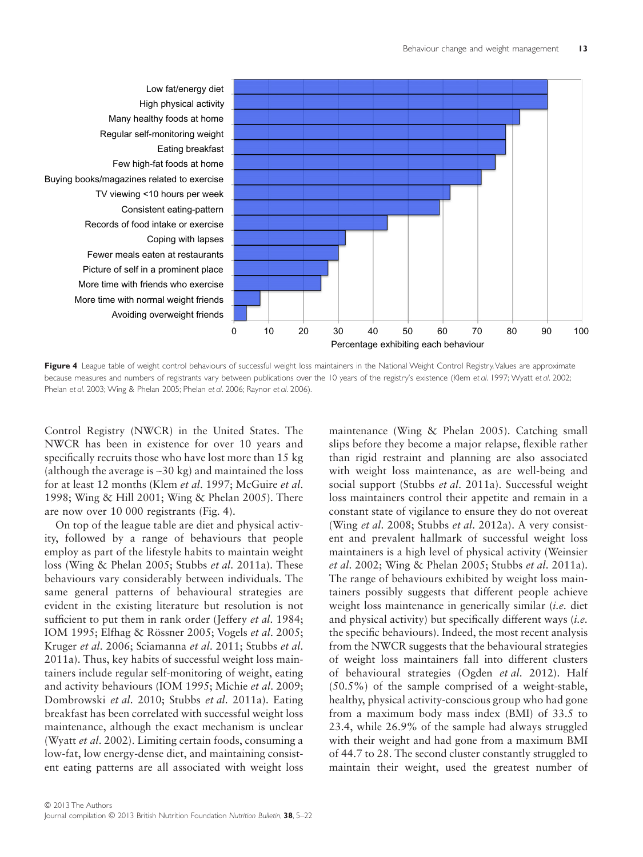

Figure 4 League table of weight control behaviours of successful weight loss maintainers in the National Weight Control Registry. Values are approximate because measures and numbers of registrants vary between publications over the 10 years of the registry's existence (Klem *et al*. 1997; Wyatt *et al*. 2002; Phelan *et al*. 2003; Wing & Phelan 2005; Phelan *et al*. 2006; Raynor *et al*. 2006).

Control Registry (NWCR) in the United States. The NWCR has been in existence for over 10 years and specifically recruits those who have lost more than 15 kg (although the average is  $\sim$ 30 kg) and maintained the loss for at least 12 months (Klem *et al*. 1997; McGuire *et al*. 1998; Wing & Hill 2001; Wing & Phelan 2005). There are now over 10 000 registrants (Fig. 4).

On top of the league table are diet and physical activity, followed by a range of behaviours that people employ as part of the lifestyle habits to maintain weight loss (Wing & Phelan 2005; Stubbs *et al*. 2011a). These behaviours vary considerably between individuals. The same general patterns of behavioural strategies are evident in the existing literature but resolution is not sufficient to put them in rank order (Jeffery *et al*. 1984; IOM 1995; Elfhag & Rössner 2005; Vogels *et al*. 2005; Kruger *et al*. 2006; Sciamanna *et al*. 2011; Stubbs *et al*. 2011a). Thus, key habits of successful weight loss maintainers include regular self-monitoring of weight, eating and activity behaviours (IOM 1995; Michie *et al*. 2009; Dombrowski *et al*. 2010; Stubbs *et al*. 2011a). Eating breakfast has been correlated with successful weight loss maintenance, although the exact mechanism is unclear (Wyatt *et al*. 2002). Limiting certain foods, consuming a low-fat, low energy-dense diet, and maintaining consistent eating patterns are all associated with weight loss maintenance (Wing & Phelan 2005). Catching small slips before they become a major relapse, flexible rather than rigid restraint and planning are also associated with weight loss maintenance, as are well-being and social support (Stubbs *et al*. 2011a). Successful weight loss maintainers control their appetite and remain in a constant state of vigilance to ensure they do not overeat (Wing *et al*. 2008; Stubbs *et al*. 2012a). A very consistent and prevalent hallmark of successful weight loss maintainers is a high level of physical activity (Weinsier *et al*. 2002; Wing & Phelan 2005; Stubbs *et al*. 2011a). The range of behaviours exhibited by weight loss maintainers possibly suggests that different people achieve weight loss maintenance in generically similar (*i.e.* diet and physical activity) but specifically different ways (*i.e.* the specific behaviours). Indeed, the most recent analysis from the NWCR suggests that the behavioural strategies of weight loss maintainers fall into different clusters of behavioural strategies (Ogden *et al*. 2012). Half (50.5%) of the sample comprised of a weight-stable, healthy, physical activity-conscious group who had gone from a maximum body mass index (BMI) of 33.5 to 23.4, while 26.9% of the sample had always struggled with their weight and had gone from a maximum BMI of 44.7 to 28. The second cluster constantly struggled to maintain their weight, used the greatest number of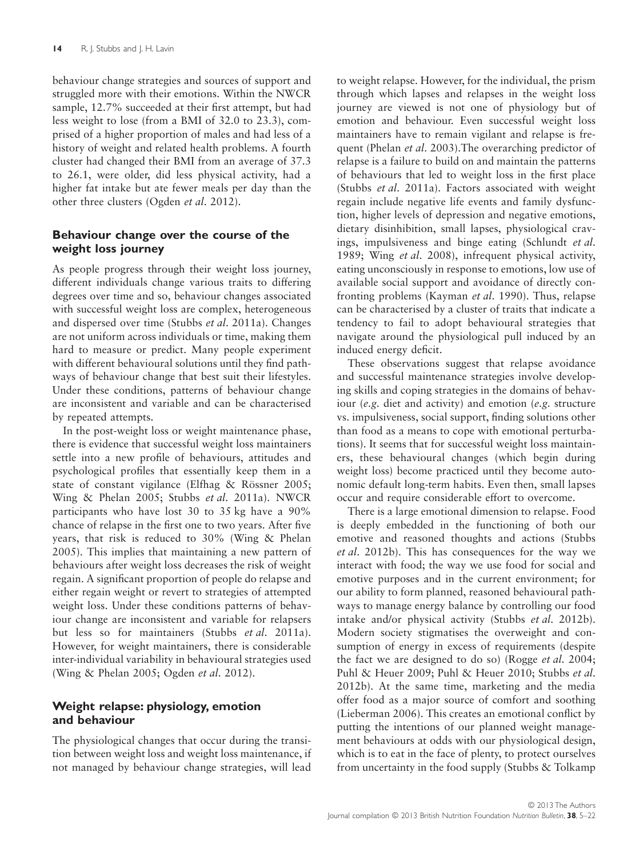behaviour change strategies and sources of support and struggled more with their emotions. Within the NWCR sample, 12.7% succeeded at their first attempt, but had less weight to lose (from a BMI of 32.0 to 23.3), comprised of a higher proportion of males and had less of a history of weight and related health problems. A fourth cluster had changed their BMI from an average of 37.3 to 26.1, were older, did less physical activity, had a higher fat intake but ate fewer meals per day than the other three clusters (Ogden *et al*. 2012).

## **Behaviour change over the course of the weight loss journey**

As people progress through their weight loss journey, different individuals change various traits to differing degrees over time and so, behaviour changes associated with successful weight loss are complex, heterogeneous and dispersed over time (Stubbs *et al*. 2011a). Changes are not uniform across individuals or time, making them hard to measure or predict. Many people experiment with different behavioural solutions until they find pathways of behaviour change that best suit their lifestyles. Under these conditions, patterns of behaviour change are inconsistent and variable and can be characterised by repeated attempts.

In the post-weight loss or weight maintenance phase, there is evidence that successful weight loss maintainers settle into a new profile of behaviours, attitudes and psychological profiles that essentially keep them in a state of constant vigilance (Elfhag & Rössner 2005; Wing & Phelan 2005; Stubbs *et al*. 2011a). NWCR participants who have lost 30 to 35 kg have a 90% chance of relapse in the first one to two years. After five years, that risk is reduced to 30% (Wing & Phelan 2005). This implies that maintaining a new pattern of behaviours after weight loss decreases the risk of weight regain. A significant proportion of people do relapse and either regain weight or revert to strategies of attempted weight loss. Under these conditions patterns of behaviour change are inconsistent and variable for relapsers but less so for maintainers (Stubbs *et al*. 2011a). However, for weight maintainers, there is considerable inter-individual variability in behavioural strategies used (Wing & Phelan 2005; Ogden *et al*. 2012).

# **Weight relapse: physiology, emotion and behaviour**

The physiological changes that occur during the transition between weight loss and weight loss maintenance, if not managed by behaviour change strategies, will lead

to weight relapse. However, for the individual, the prism through which lapses and relapses in the weight loss journey are viewed is not one of physiology but of emotion and behaviour. Even successful weight loss maintainers have to remain vigilant and relapse is frequent (Phelan *et al*. 2003).The overarching predictor of relapse is a failure to build on and maintain the patterns of behaviours that led to weight loss in the first place (Stubbs *et al*. 2011a). Factors associated with weight regain include negative life events and family dysfunction, higher levels of depression and negative emotions, dietary disinhibition, small lapses, physiological cravings, impulsiveness and binge eating (Schlundt *et al*. 1989; Wing *et al*. 2008), infrequent physical activity, eating unconsciously in response to emotions, low use of available social support and avoidance of directly confronting problems (Kayman *et al*. 1990). Thus, relapse can be characterised by a cluster of traits that indicate a tendency to fail to adopt behavioural strategies that navigate around the physiological pull induced by an induced energy deficit.

These observations suggest that relapse avoidance and successful maintenance strategies involve developing skills and coping strategies in the domains of behaviour (*e.g.* diet and activity) and emotion (*e.g.* structure vs. impulsiveness, social support, finding solutions other than food as a means to cope with emotional perturbations). It seems that for successful weight loss maintainers, these behavioural changes (which begin during weight loss) become practiced until they become autonomic default long-term habits. Even then, small lapses occur and require considerable effort to overcome.

There is a large emotional dimension to relapse. Food is deeply embedded in the functioning of both our emotive and reasoned thoughts and actions (Stubbs *et al*. 2012b). This has consequences for the way we interact with food; the way we use food for social and emotive purposes and in the current environment; for our ability to form planned, reasoned behavioural pathways to manage energy balance by controlling our food intake and/or physical activity (Stubbs *et al*. 2012b). Modern society stigmatises the overweight and consumption of energy in excess of requirements (despite the fact we are designed to do so) (Rogge *et al*. 2004; Puhl & Heuer 2009; Puhl & Heuer 2010; Stubbs *et al*. 2012b). At the same time, marketing and the media offer food as a major source of comfort and soothing (Lieberman 2006). This creates an emotional conflict by putting the intentions of our planned weight management behaviours at odds with our physiological design, which is to eat in the face of plenty, to protect ourselves from uncertainty in the food supply (Stubbs & Tolkamp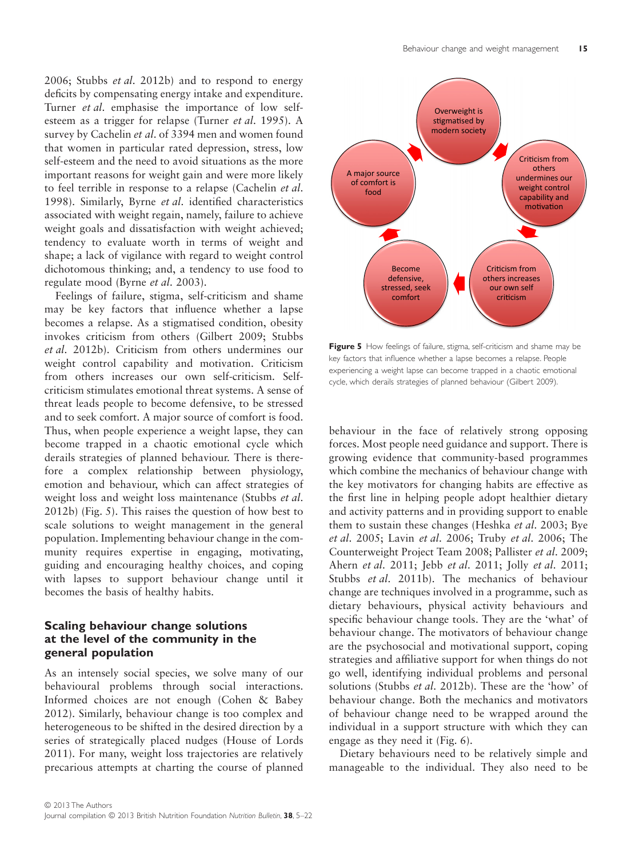2006; Stubbs *et al*. 2012b) and to respond to energy deficits by compensating energy intake and expenditure. Turner *et al*. emphasise the importance of low selfesteem as a trigger for relapse (Turner *et al*. 1995). A survey by Cachelin *et al*. of 3394 men and women found that women in particular rated depression, stress, low self-esteem and the need to avoid situations as the more important reasons for weight gain and were more likely to feel terrible in response to a relapse (Cachelin *et al*. 1998). Similarly, Byrne *et al*. identified characteristics associated with weight regain, namely, failure to achieve weight goals and dissatisfaction with weight achieved; tendency to evaluate worth in terms of weight and shape; a lack of vigilance with regard to weight control dichotomous thinking; and, a tendency to use food to regulate mood (Byrne *et al*. 2003).

Feelings of failure, stigma, self-criticism and shame may be key factors that influence whether a lapse becomes a relapse. As a stigmatised condition, obesity invokes criticism from others (Gilbert 2009; Stubbs *et al*. 2012b). Criticism from others undermines our weight control capability and motivation. Criticism from others increases our own self-criticism. Selfcriticism stimulates emotional threat systems. A sense of threat leads people to become defensive, to be stressed and to seek comfort. A major source of comfort is food. Thus, when people experience a weight lapse, they can become trapped in a chaotic emotional cycle which derails strategies of planned behaviour. There is therefore a complex relationship between physiology, emotion and behaviour, which can affect strategies of weight loss and weight loss maintenance (Stubbs *et al*. 2012b) (Fig. 5). This raises the question of how best to scale solutions to weight management in the general population. Implementing behaviour change in the community requires expertise in engaging, motivating, guiding and encouraging healthy choices, and coping with lapses to support behaviour change until it becomes the basis of healthy habits.

# **Scaling behaviour change solutions at the level of the community in the general population**

As an intensely social species, we solve many of our behavioural problems through social interactions. Informed choices are not enough (Cohen & Babey 2012). Similarly, behaviour change is too complex and heterogeneous to be shifted in the desired direction by a series of strategically placed nudges (House of Lords 2011). For many, weight loss trajectories are relatively precarious attempts at charting the course of planned



Figure 5 How feelings of failure, stigma, self-criticism and shame may be key factors that influence whether a lapse becomes a relapse. People experiencing a weight lapse can become trapped in a chaotic emotional cycle, which derails strategies of planned behaviour (Gilbert 2009).

behaviour in the face of relatively strong opposing forces. Most people need guidance and support. There is growing evidence that community-based programmes which combine the mechanics of behaviour change with the key motivators for changing habits are effective as the first line in helping people adopt healthier dietary and activity patterns and in providing support to enable them to sustain these changes (Heshka *et al*. 2003; Bye *et al*. 2005; Lavin *et al*. 2006; Truby *et al*. 2006; The Counterweight Project Team 2008; Pallister *et al*. 2009; Ahern *et al*. 2011; Jebb *et al*. 2011; Jolly *et al*. 2011; Stubbs *et al*. 2011b). The mechanics of behaviour change are techniques involved in a programme, such as dietary behaviours, physical activity behaviours and specific behaviour change tools. They are the 'what' of behaviour change. The motivators of behaviour change are the psychosocial and motivational support, coping strategies and affiliative support for when things do not go well, identifying individual problems and personal solutions (Stubbs *et al*. 2012b). These are the 'how' of behaviour change. Both the mechanics and motivators of behaviour change need to be wrapped around the individual in a support structure with which they can engage as they need it (Fig. 6).

Dietary behaviours need to be relatively simple and manageable to the individual. They also need to be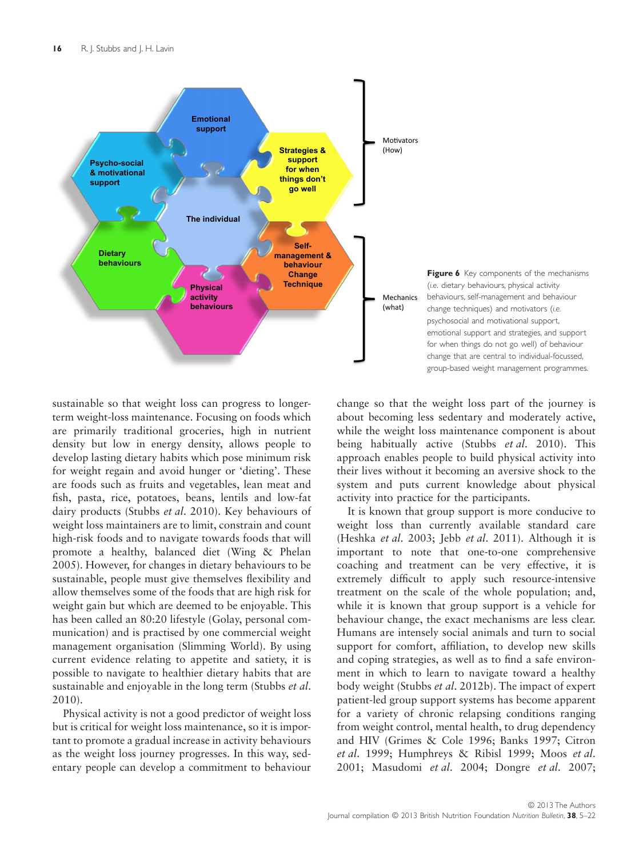

sustainable so that weight loss can progress to longerterm weight-loss maintenance. Focusing on foods which are primarily traditional groceries, high in nutrient density but low in energy density, allows people to develop lasting dietary habits which pose minimum risk for weight regain and avoid hunger or 'dieting'. These are foods such as fruits and vegetables, lean meat and fish, pasta, rice, potatoes, beans, lentils and low-fat dairy products (Stubbs *et al*. 2010). Key behaviours of weight loss maintainers are to limit, constrain and count high-risk foods and to navigate towards foods that will promote a healthy, balanced diet (Wing & Phelan 2005). However, for changes in dietary behaviours to be sustainable, people must give themselves flexibility and allow themselves some of the foods that are high risk for weight gain but which are deemed to be enjoyable. This has been called an 80:20 lifestyle (Golay, personal communication) and is practised by one commercial weight management organisation (Slimming World). By using current evidence relating to appetite and satiety, it is possible to navigate to healthier dietary habits that are sustainable and enjoyable in the long term (Stubbs *et al*. 2010).

Physical activity is not a good predictor of weight loss but is critical for weight loss maintenance, so it is important to promote a gradual increase in activity behaviours as the weight loss journey progresses. In this way, sedentary people can develop a commitment to behaviour change so that the weight loss part of the journey is about becoming less sedentary and moderately active, while the weight loss maintenance component is about being habitually active (Stubbs *et al*. 2010). This approach enables people to build physical activity into their lives without it becoming an aversive shock to the system and puts current knowledge about physical activity into practice for the participants.

It is known that group support is more conducive to weight loss than currently available standard care (Heshka *et al*. 2003; Jebb *et al*. 2011). Although it is important to note that one-to-one comprehensive coaching and treatment can be very effective, it is extremely difficult to apply such resource-intensive treatment on the scale of the whole population; and, while it is known that group support is a vehicle for behaviour change, the exact mechanisms are less clear. Humans are intensely social animals and turn to social support for comfort, affiliation, to develop new skills and coping strategies, as well as to find a safe environment in which to learn to navigate toward a healthy body weight (Stubbs *et al*. 2012b). The impact of expert patient-led group support systems has become apparent for a variety of chronic relapsing conditions ranging from weight control, mental health, to drug dependency and HIV (Grimes & Cole 1996; Banks 1997; Citron *et al*. 1999; Humphreys & Ribisl 1999; Moos *et al*. 2001; Masudomi *et al*. 2004; Dongre *et al*. 2007;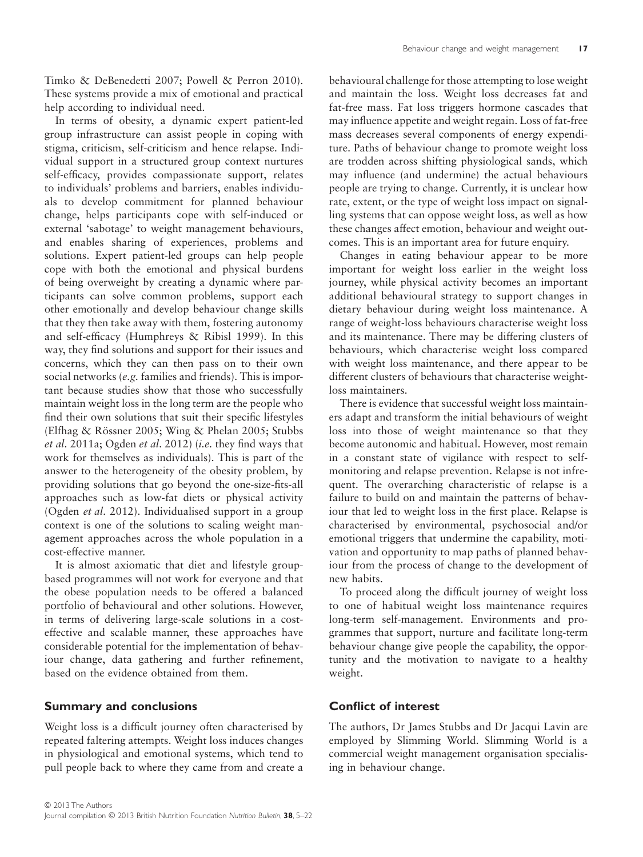Timko & DeBenedetti 2007; Powell & Perron 2010). These systems provide a mix of emotional and practical help according to individual need.

In terms of obesity, a dynamic expert patient-led group infrastructure can assist people in coping with stigma, criticism, self-criticism and hence relapse. Individual support in a structured group context nurtures self-efficacy, provides compassionate support, relates to individuals' problems and barriers, enables individuals to develop commitment for planned behaviour change, helps participants cope with self-induced or external 'sabotage' to weight management behaviours, and enables sharing of experiences, problems and solutions. Expert patient-led groups can help people cope with both the emotional and physical burdens of being overweight by creating a dynamic where participants can solve common problems, support each other emotionally and develop behaviour change skills that they then take away with them, fostering autonomy and self-efficacy (Humphreys & Ribisl 1999). In this way, they find solutions and support for their issues and concerns, which they can then pass on to their own social networks (*e.g.* families and friends). This is important because studies show that those who successfully maintain weight loss in the long term are the people who find their own solutions that suit their specific lifestyles (Elfhag & Rössner 2005; Wing & Phelan 2005; Stubbs *et al*. 2011a; Ogden *et al*. 2012) (*i.e.* they find ways that work for themselves as individuals). This is part of the answer to the heterogeneity of the obesity problem, by providing solutions that go beyond the one-size-fits-all approaches such as low-fat diets or physical activity (Ogden *et al*. 2012). Individualised support in a group context is one of the solutions to scaling weight management approaches across the whole population in a cost-effective manner.

It is almost axiomatic that diet and lifestyle groupbased programmes will not work for everyone and that the obese population needs to be offered a balanced portfolio of behavioural and other solutions. However, in terms of delivering large-scale solutions in a costeffective and scalable manner, these approaches have considerable potential for the implementation of behaviour change, data gathering and further refinement, based on the evidence obtained from them.

# **Summary and conclusions**

Weight loss is a difficult journey often characterised by repeated faltering attempts. Weight loss induces changes in physiological and emotional systems, which tend to pull people back to where they came from and create a

behavioural challenge for those attempting to lose weight and maintain the loss. Weight loss decreases fat and fat-free mass. Fat loss triggers hormone cascades that may influence appetite and weight regain. Loss of fat-free mass decreases several components of energy expenditure. Paths of behaviour change to promote weight loss are trodden across shifting physiological sands, which may influence (and undermine) the actual behaviours people are trying to change. Currently, it is unclear how rate, extent, or the type of weight loss impact on signalling systems that can oppose weight loss, as well as how these changes affect emotion, behaviour and weight outcomes. This is an important area for future enquiry.

Changes in eating behaviour appear to be more important for weight loss earlier in the weight loss journey, while physical activity becomes an important additional behavioural strategy to support changes in dietary behaviour during weight loss maintenance. A range of weight-loss behaviours characterise weight loss and its maintenance. There may be differing clusters of behaviours, which characterise weight loss compared with weight loss maintenance, and there appear to be different clusters of behaviours that characterise weightloss maintainers.

There is evidence that successful weight loss maintainers adapt and transform the initial behaviours of weight loss into those of weight maintenance so that they become autonomic and habitual. However, most remain in a constant state of vigilance with respect to selfmonitoring and relapse prevention. Relapse is not infrequent. The overarching characteristic of relapse is a failure to build on and maintain the patterns of behaviour that led to weight loss in the first place. Relapse is characterised by environmental, psychosocial and/or emotional triggers that undermine the capability, motivation and opportunity to map paths of planned behaviour from the process of change to the development of new habits.

To proceed along the difficult journey of weight loss to one of habitual weight loss maintenance requires long-term self-management. Environments and programmes that support, nurture and facilitate long-term behaviour change give people the capability, the opportunity and the motivation to navigate to a healthy weight.

# **Conflict of interest**

The authors, Dr James Stubbs and Dr Jacqui Lavin are employed by Slimming World. Slimming World is a commercial weight management organisation specialising in behaviour change.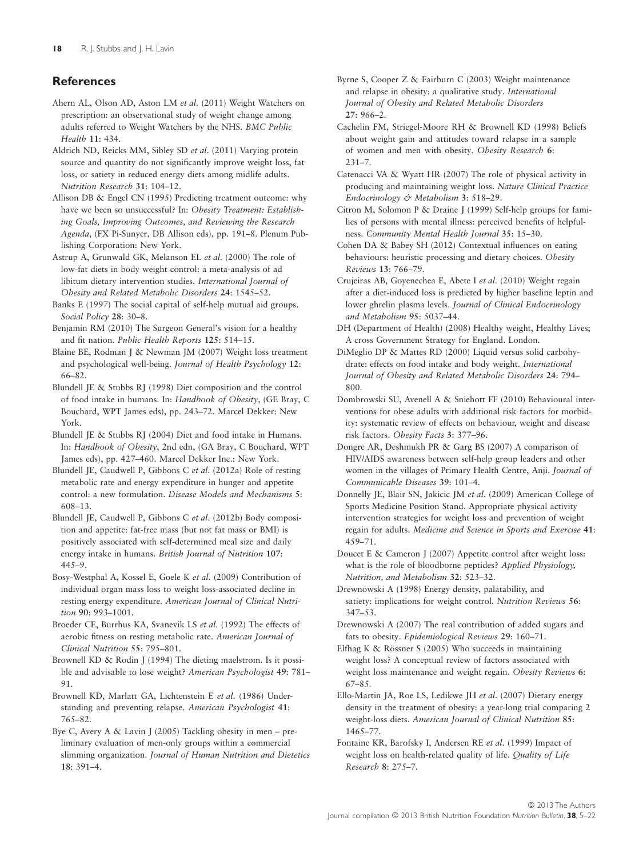### **References**

Ahern AL, Olson AD, Aston LM *et al*. (2011) Weight Watchers on prescription: an observational study of weight change among adults referred to Weight Watchers by the NHS. *BMC Public Health* **11**: 434.

Aldrich ND, Reicks MM, Sibley SD *et al*. (2011) Varying protein source and quantity do not significantly improve weight loss, fat loss, or satiety in reduced energy diets among midlife adults. *Nutrition Research* **31**: 104–12.

Allison DB & Engel CN (1995) Predicting treatment outcome: why have we been so unsuccessful? In: *Obesity Treatment: Establishing Goals, Improving Outcomes, and Reviewing the Research Agenda*, (FX Pi-Sunyer, DB Allison eds), pp. 191–8. Plenum Publishing Corporation: New York.

Astrup A, Grunwald GK, Melanson EL *et al*. (2000) The role of low-fat diets in body weight control: a meta-analysis of ad libitum dietary intervention studies. *International Journal of Obesity and Related Metabolic Disorders* **24**: 1545–52.

Banks E (1997) The social capital of self-help mutual aid groups. *Social Policy* **28**: 30–8.

Benjamin RM (2010) The Surgeon General's vision for a healthy and fit nation. *Public Health Reports* **125**: 514–15.

Blaine BE, Rodman J & Newman JM (2007) Weight loss treatment and psychological well-being. *Journal of Health Psychology* **12**: 66–82.

Blundell JE & Stubbs RJ (1998) Diet composition and the control of food intake in humans. In: *Handbook of Obesity*, (GE Bray, C Bouchard, WPT James eds), pp. 243–72. Marcel Dekker: New York.

Blundell JE & Stubbs RJ (2004) Diet and food intake in Humans. In: *Handbook of Obesity*, 2nd edn, (GA Bray, C Bouchard, WPT James eds), pp. 427–460. Marcel Dekker Inc.: New York.

Blundell JE, Caudwell P, Gibbons C *et al*. (2012a) Role of resting metabolic rate and energy expenditure in hunger and appetite control: a new formulation. *Disease Models and Mechanisms* **5**: 608–13.

Blundell JE, Caudwell P, Gibbons C *et al*. (2012b) Body composition and appetite: fat-free mass (but not fat mass or BMI) is positively associated with self-determined meal size and daily energy intake in humans. *British Journal of Nutrition* **107**: 445–9.

Bosy-Westphal A, Kossel E, Goele K *et al*. (2009) Contribution of individual organ mass loss to weight loss-associated decline in resting energy expenditure. *American Journal of Clinical Nutrition* **90**: 993–1001.

Broeder CE, Burrhus KA, Svanevik LS *et al*. (1992) The effects of aerobic fitness on resting metabolic rate. *American Journal of Clinical Nutrition* **55**: 795–801.

Brownell KD & Rodin J (1994) The dieting maelstrom. Is it possible and advisable to lose weight? *American Psychologist* **49**: 781– 91.

Brownell KD, Marlatt GA, Lichtenstein E *et al*. (1986) Understanding and preventing relapse. *American Psychologist* **41**: 765–82.

Bye C, Avery A & Lavin J (2005) Tackling obesity in men – preliminary evaluation of men-only groups within a commercial slimming organization. *Journal of Human Nutrition and Dietetics* **18**: 391–4.

Byrne S, Cooper Z & Fairburn C (2003) Weight maintenance and relapse in obesity: a qualitative study. *International Journal of Obesity and Related Metabolic Disorders* **27**: 966–2.

Cachelin FM, Striegel-Moore RH & Brownell KD (1998) Beliefs about weight gain and attitudes toward relapse in a sample of women and men with obesity. *Obesity Research* **6**: 231–7.

Catenacci VA & Wyatt HR (2007) The role of physical activity in producing and maintaining weight loss. *Nature Clinical Practice Endocrinology & Metabolism* **3**: 518–29.

Citron M, Solomon P & Draine J (1999) Self-help groups for families of persons with mental illness: perceived benefits of helpfulness. *Community Mental Health Journal* **35**: 15–30.

Cohen DA & Babey SH (2012) Contextual influences on eating behaviours: heuristic processing and dietary choices. *Obesity Reviews* **13**: 766–79.

Crujeiras AB, Goyenechea E, Abete I *et al*. (2010) Weight regain after a diet-induced loss is predicted by higher baseline leptin and lower ghrelin plasma levels. *Journal of Clinical Endocrinology and Metabolism* **95**: 5037–44.

DH (Department of Health) (2008) Healthy weight, Healthy Lives; A cross Government Strategy for England. London.

DiMeglio DP & Mattes RD (2000) Liquid versus solid carbohydrate: effects on food intake and body weight. *International Journal of Obesity and Related Metabolic Disorders* **24**: 794– 800.

Dombrowski SU, Avenell A & Sniehott FF (2010) Behavioural interventions for obese adults with additional risk factors for morbidity: systematic review of effects on behaviour, weight and disease risk factors. *Obesity Facts* **3**: 377–96.

Dongre AR, Deshmukh PR & Garg BS (2007) A comparison of HIV/AIDS awareness between self-help group leaders and other women in the villages of Primary Health Centre, Anji. *Journal of Communicable Diseases* **39**: 101–4.

Donnelly JE, Blair SN, Jakicic JM *et al*. (2009) American College of Sports Medicine Position Stand. Appropriate physical activity intervention strategies for weight loss and prevention of weight regain for adults. *Medicine and Science in Sports and Exercise* **41**: 459–71.

Doucet E & Cameron J (2007) Appetite control after weight loss: what is the role of bloodborne peptides? *Applied Physiology, Nutrition, and Metabolism* **32**: 523–32.

Drewnowski A (1998) Energy density, palatability, and satiety: implications for weight control. *Nutrition Reviews* **56**: 347–53.

Drewnowski A (2007) The real contribution of added sugars and fats to obesity. *Epidemiological Reviews* **29**: 160–71.

Elfhag K & Rössner S (2005) Who succeeds in maintaining weight loss? A conceptual review of factors associated with weight loss maintenance and weight regain. *Obesity Reviews* **6**: 67–85.

Ello-Martin JA, Roe LS, Ledikwe JH *et al*. (2007) Dietary energy density in the treatment of obesity: a year-long trial comparing 2 weight-loss diets. *American Journal of Clinical Nutrition* **85**: 1465–77.

Fontaine KR, Barofsky I, Andersen RE *et al*. (1999) Impact of weight loss on health-related quality of life. *Quality of Life Research* **8**: 275–7.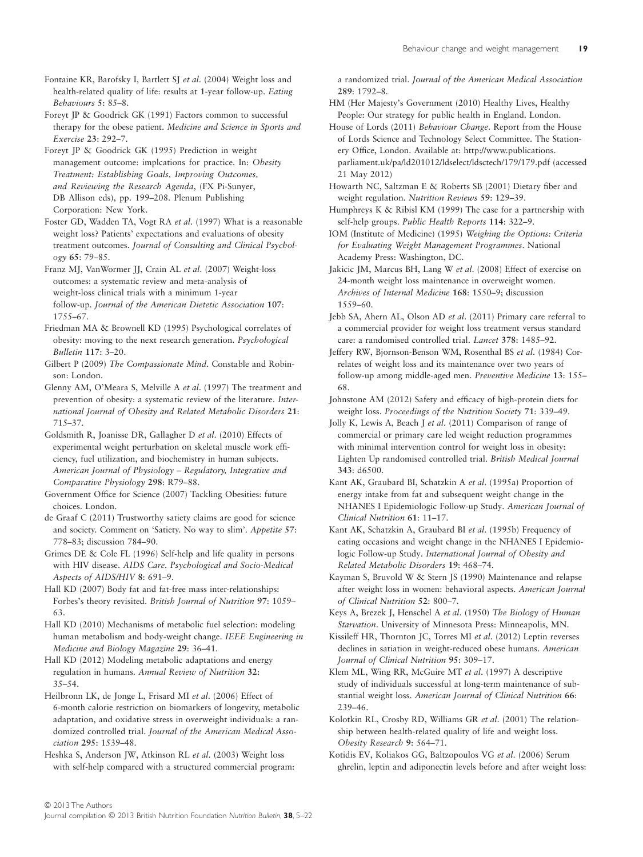Fontaine KR, Barofsky I, Bartlett SJ *et al*. (2004) Weight loss and health-related quality of life: results at 1-year follow-up. *Eating Behaviours* **5**: 85–8.

Foreyt JP & Goodrick GK (1991) Factors common to successful therapy for the obese patient. *Medicine and Science in Sports and Exercise* **23**: 292–7.

Foreyt JP & Goodrick GK (1995) Prediction in weight management outcome: implcations for practice. In: *Obesity Treatment: Establishing Goals, Improving Outcomes, and Reviewing the Research Agenda*, (FX Pi-Sunyer, DB Allison eds), pp. 199–208. Plenum Publishing Corporation: New York.

Foster GD, Wadden TA, Vogt RA *et al*. (1997) What is a reasonable weight loss? Patients' expectations and evaluations of obesity treatment outcomes. *Journal of Consulting and Clinical Psychology* **65**: 79–85.

Franz MJ, VanWormer JJ, Crain AL *et al*. (2007) Weight-loss outcomes: a systematic review and meta-analysis of weight-loss clinical trials with a minimum 1-year follow-up. *Journal of the American Dietetic Association* **107**: 1755–67.

Friedman MA & Brownell KD (1995) Psychological correlates of obesity: moving to the next research generation. *Psychological Bulletin* **117**: 3–20.

Gilbert P (2009) *The Compassionate Mind*. Constable and Robinson: London.

Glenny AM, O'Meara S, Melville A *et al*. (1997) The treatment and prevention of obesity: a systematic review of the literature. *International Journal of Obesity and Related Metabolic Disorders* **21**: 715–37.

Goldsmith R, Joanisse DR, Gallagher D *et al*. (2010) Effects of experimental weight perturbation on skeletal muscle work efficiency, fuel utilization, and biochemistry in human subjects. *American Journal of Physiology – Regulatory, Integrative and Comparative Physiology* **298**: R79–88.

Government Office for Science (2007) Tackling Obesities: future choices. London.

de Graaf C (2011) Trustworthy satiety claims are good for science and society. Comment on 'Satiety. No way to slim'. *Appetite* **57**: 778–83; discussion 784–90.

Grimes DE & Cole FL (1996) Self-help and life quality in persons with HIV disease. *AIDS Care. Psychological and Socio-Medical Aspects of AIDS/HIV* **8**: 691–9.

Hall KD (2007) Body fat and fat-free mass inter-relationships: Forbes's theory revisited. *British Journal of Nutrition* **97**: 1059– 63.

Hall KD (2010) Mechanisms of metabolic fuel selection: modeling human metabolism and body-weight change. *IEEE Engineering in Medicine and Biology Magazine* **29**: 36–41.

Hall KD (2012) Modeling metabolic adaptations and energy regulation in humans. *Annual Review of Nutrition* **32**: 35–54.

Heilbronn LK, de Jonge L, Frisard MI *et al*. (2006) Effect of 6-month calorie restriction on biomarkers of longevity, metabolic adaptation, and oxidative stress in overweight individuals: a randomized controlled trial. *Journal of the American Medical Association* **295**: 1539–48.

Heshka S, Anderson JW, Atkinson RL *et al*. (2003) Weight loss with self-help compared with a structured commercial program: a randomized trial. *Journal of the American Medical Association* **289**: 1792–8.

- HM (Her Majesty's Government (2010) Healthy Lives, Healthy People: Our strategy for public health in England. London.
- House of Lords (2011) *Behaviour Change*. Report from the House of Lords Science and Technology Select Committee. The Stationery Office, London. Available at: http://www.publications. parliament.uk/pa/ld201012/ldselect/ldsctech/179/179.pdf (accessed 21 May 2012)
- Howarth NC, Saltzman E & Roberts SB (2001) Dietary fiber and weight regulation. *Nutrition Reviews* **59**: 129–39.

Humphreys K & Ribisl KM (1999) The case for a partnership with self-help groups. *Public Health Reports* **114**: 322–9.

IOM (Institute of Medicine) (1995) *Weighing the Options: Criteria for Evaluating Weight Management Programmes*. National Academy Press: Washington, DC.

Jakicic JM, Marcus BH, Lang W *et al*. (2008) Effect of exercise on 24-month weight loss maintenance in overweight women. *Archives of Internal Medicine* **168**: 1550–9; discussion 1559–60.

Jebb SA, Ahern AL, Olson AD *et al*. (2011) Primary care referral to a commercial provider for weight loss treatment versus standard care: a randomised controlled trial. *Lancet* **378**: 1485–92.

Jeffery RW, Bjornson-Benson WM, Rosenthal BS *et al*. (1984) Correlates of weight loss and its maintenance over two years of follow-up among middle-aged men. *Preventive Medicine* **13**: 155– 68.

Johnstone AM (2012) Safety and efficacy of high-protein diets for weight loss. *Proceedings of the Nutrition Society* **71**: 339–49.

Jolly K, Lewis A, Beach J *et al*. (2011) Comparison of range of commercial or primary care led weight reduction programmes with minimal intervention control for weight loss in obesity: Lighten Up randomised controlled trial. *British Medical Journal* **343**: d6500.

Kant AK, Graubard BI, Schatzkin A *et al*. (1995a) Proportion of energy intake from fat and subsequent weight change in the NHANES I Epidemiologic Follow-up Study. *American Journal of Clinical Nutrition* **61**: 11–17.

Kant AK, Schatzkin A, Graubard BI *et al*. (1995b) Frequency of eating occasions and weight change in the NHANES I Epidemiologic Follow-up Study. *International Journal of Obesity and Related Metabolic Disorders* **19**: 468–74.

Kayman S, Bruvold W & Stern JS (1990) Maintenance and relapse after weight loss in women: behavioral aspects. *American Journal of Clinical Nutrition* **52**: 800–7.

Keys A, Brezek J, Henschel A *et al*. (1950) *The Biology of Human Starvation*. University of Minnesota Press: Minneapolis, MN.

Kissileff HR, Thornton JC, Torres MI *et al*. (2012) Leptin reverses declines in satiation in weight-reduced obese humans. *American Journal of Clinical Nutrition* **95**: 309–17.

Klem ML, Wing RR, McGuire MT *et al*. (1997) A descriptive study of individuals successful at long-term maintenance of substantial weight loss. *American Journal of Clinical Nutrition* **66**: 239–46.

Kolotkin RL, Crosby RD, Williams GR *et al*. (2001) The relationship between health-related quality of life and weight loss. *Obesity Research* **9**: 564–71.

Kotidis EV, Koliakos GG, Baltzopoulos VG *et al*. (2006) Serum ghrelin, leptin and adiponectin levels before and after weight loss: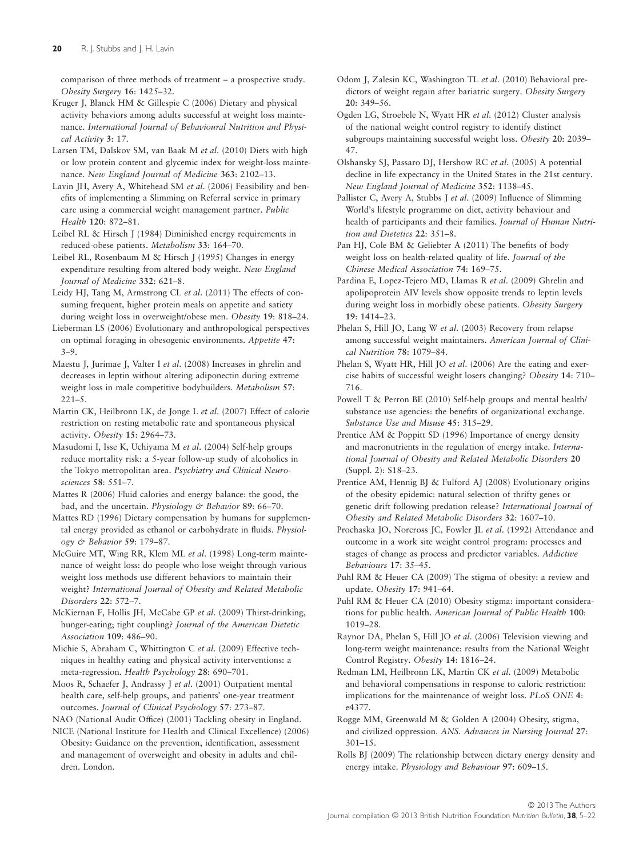comparison of three methods of treatment – a prospective study. *Obesity Surgery* **16**: 1425–32.

Kruger J, Blanck HM & Gillespie C (2006) Dietary and physical activity behaviors among adults successful at weight loss maintenance. *International Journal of Behavioural Nutrition and Physical Activity* **3**: 17.

Larsen TM, Dalskov SM, van Baak M *et al*. (2010) Diets with high or low protein content and glycemic index for weight-loss maintenance. *New England Journal of Medicine* **363**: 2102–13.

Lavin JH, Avery A, Whitehead SM *et al*. (2006) Feasibility and benefits of implementing a Slimming on Referral service in primary care using a commercial weight management partner. *Public Health* **120**: 872–81.

Leibel RL & Hirsch J (1984) Diminished energy requirements in reduced-obese patients. *Metabolism* **33**: 164–70.

Leibel RL, Rosenbaum M & Hirsch J (1995) Changes in energy expenditure resulting from altered body weight. *New England Journal of Medicine* **332**: 621–8.

Leidy HJ, Tang M, Armstrong CL *et al*. (2011) The effects of consuming frequent, higher protein meals on appetite and satiety during weight loss in overweight/obese men. *Obesity* **19**: 818–24.

Lieberman LS (2006) Evolutionary and anthropological perspectives on optimal foraging in obesogenic environments. *Appetite* **47**: 3–9.

Maestu J, Jurimae J, Valter I *et al*. (2008) Increases in ghrelin and decreases in leptin without altering adiponectin during extreme weight loss in male competitive bodybuilders. *Metabolism* **57**:  $221 - 5$ 

Martin CK, Heilbronn LK, de Jonge L *et al*. (2007) Effect of calorie restriction on resting metabolic rate and spontaneous physical activity. *Obesity* **15**: 2964–73.

Masudomi I, Isse K, Uchiyama M *et al*. (2004) Self-help groups reduce mortality risk: a 5-year follow-up study of alcoholics in the Tokyo metropolitan area. *Psychiatry and Clinical Neurosciences* **58**: 551–7.

Mattes R (2006) Fluid calories and energy balance: the good, the bad, and the uncertain. *Physiology & Behavior* **89**: 66–70.

Mattes RD (1996) Dietary compensation by humans for supplemental energy provided as ethanol or carbohydrate in fluids. *Physiology & Behavior* **59**: 179–87.

McGuire MT, Wing RR, Klem ML *et al*. (1998) Long-term maintenance of weight loss: do people who lose weight through various weight loss methods use different behaviors to maintain their weight? *International Journal of Obesity and Related Metabolic Disorders* **22**: 572–7.

McKiernan F, Hollis JH, McCabe GP *et al*. (2009) Thirst-drinking, hunger-eating; tight coupling? *Journal of the American Dietetic Association* **109**: 486–90.

Michie S, Abraham C, Whittington C *et al*. (2009) Effective techniques in healthy eating and physical activity interventions: a meta-regression. *Health Psychology* **28**: 690–701.

Moos R, Schaefer J, Andrassy J *et al*. (2001) Outpatient mental health care, self-help groups, and patients' one-year treatment outcomes. *Journal of Clinical Psychology* **57**: 273–87.

NAO (National Audit Office) (2001) Tackling obesity in England.

NICE (National Institute for Health and Clinical Excellence) (2006) Obesity: Guidance on the prevention, identification, assessment and management of overweight and obesity in adults and children. London.

Odom J, Zalesin KC, Washington TL *et al*. (2010) Behavioral predictors of weight regain after bariatric surgery. *Obesity Surgery* **20**: 349–56.

Ogden LG, Stroebele N, Wyatt HR *et al*. (2012) Cluster analysis of the national weight control registry to identify distinct subgroups maintaining successful weight loss. *Obesity* **20**: 2039– 47.

Olshansky SJ, Passaro DJ, Hershow RC *et al*. (2005) A potential decline in life expectancy in the United States in the 21st century. *New England Journal of Medicine* **352**: 1138–45.

Pallister C, Avery A, Stubbs J *et al*. (2009) Influence of Slimming World's lifestyle programme on diet, activity behaviour and health of participants and their families. *Journal of Human Nutrition and Dietetics* **22**: 351–8.

Pan HJ, Cole BM & Geliebter A (2011) The benefits of body weight loss on health-related quality of life. *Journal of the Chinese Medical Association* **74**: 169–75.

Pardina E, Lopez-Tejero MD, Llamas R *et al*. (2009) Ghrelin and apolipoprotein AIV levels show opposite trends to leptin levels during weight loss in morbidly obese patients. *Obesity Surgery* **19**: 1414–23.

Phelan S, Hill JO, Lang W *et al*. (2003) Recovery from relapse among successful weight maintainers. *American Journal of Clinical Nutrition* **78**: 1079–84.

Phelan S, Wyatt HR, Hill JO *et al*. (2006) Are the eating and exercise habits of successful weight losers changing? *Obesity* **14**: 710– 716.

Powell T & Perron BE (2010) Self-help groups and mental health/ substance use agencies: the benefits of organizational exchange. *Substance Use and Misuse* **45**: 315–29.

Prentice AM & Poppitt SD (1996) Importance of energy density and macronutrients in the regulation of energy intake. *International Journal of Obesity and Related Metabolic Disorders* **20** (Suppl. 2): S18–23.

Prentice AM, Hennig BJ & Fulford AJ (2008) Evolutionary origins of the obesity epidemic: natural selection of thrifty genes or genetic drift following predation release? *International Journal of Obesity and Related Metabolic Disorders* **32**: 1607–10.

Prochaska JO, Norcross JC, Fowler JL *et al*. (1992) Attendance and outcome in a work site weight control program: processes and stages of change as process and predictor variables. *Addictive Behaviours* **17**: 35–45.

Puhl RM & Heuer CA (2009) The stigma of obesity: a review and update. *Obesity* **17**: 941–64.

Puhl RM & Heuer CA (2010) Obesity stigma: important considerations for public health. *American Journal of Public Health* **100**: 1019–28.

Raynor DA, Phelan S, Hill JO *et al*. (2006) Television viewing and long-term weight maintenance: results from the National Weight Control Registry. *Obesity* **14**: 1816–24.

Redman LM, Heilbronn LK, Martin CK *et al*. (2009) Metabolic and behavioral compensations in response to caloric restriction: implications for the maintenance of weight loss. *PLoS ONE* **4**: e4377.

Rogge MM, Greenwald M & Golden A (2004) Obesity, stigma, and civilized oppression. *ANS. Advances in Nursing Journal* **27**: 301–15.

Rolls BJ (2009) The relationship between dietary energy density and energy intake. *Physiology and Behaviour* **97**: 609–15.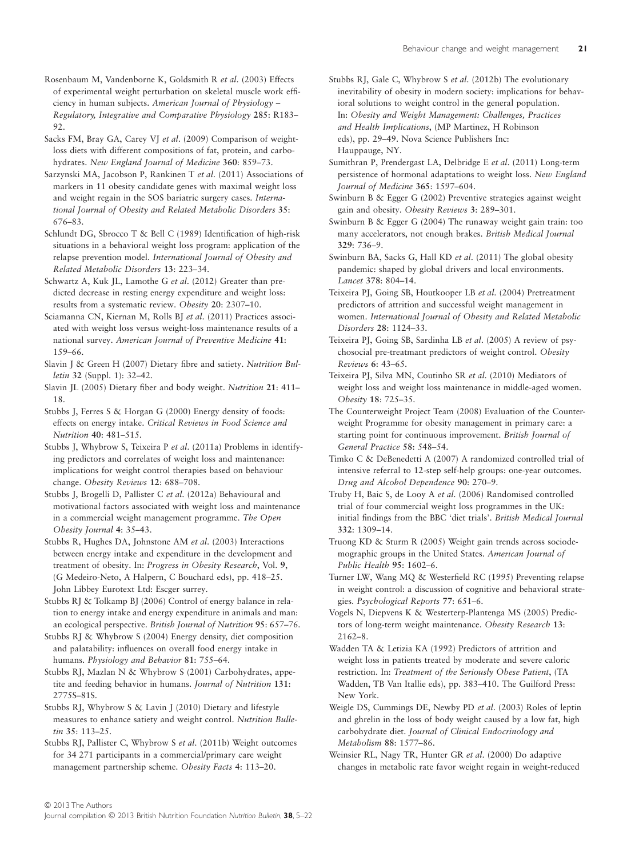Rosenbaum M, Vandenborne K, Goldsmith R *et al*. (2003) Effects of experimental weight perturbation on skeletal muscle work efficiency in human subjects. *American Journal of Physiology – Regulatory, Integrative and Comparative Physiology* **285**: R183– 92.

Sacks FM, Bray GA, Carey VJ *et al*. (2009) Comparison of weightloss diets with different compositions of fat, protein, and carbohydrates. *New England Journal of Medicine* **360**: 859–73.

Sarzynski MA, Jacobson P, Rankinen T *et al*. (2011) Associations of markers in 11 obesity candidate genes with maximal weight loss and weight regain in the SOS bariatric surgery cases. *International Journal of Obesity and Related Metabolic Disorders* **35**: 676–83.

Schlundt DG, Sbrocco T & Bell C (1989) Identification of high-risk situations in a behavioral weight loss program: application of the relapse prevention model. *International Journal of Obesity and Related Metabolic Disorders* **13**: 223–34.

Schwartz A, Kuk JL, Lamothe G *et al*. (2012) Greater than predicted decrease in resting energy expenditure and weight loss: results from a systematic review. *Obesity* **20**: 2307–10.

Sciamanna CN, Kiernan M, Rolls BJ *et al*. (2011) Practices associated with weight loss versus weight-loss maintenance results of a national survey. *American Journal of Preventive Medicine* **41**: 159–66.

Slavin J & Green H (2007) Dietary fibre and satiety. *Nutrition Bulletin* **32** (Suppl. 1): 32–42.

Slavin JL (2005) Dietary fiber and body weight. *Nutrition* **21**: 411– 18.

Stubbs J, Ferres S & Horgan G (2000) Energy density of foods: effects on energy intake. *Critical Reviews in Food Science and Nutrition* **40**: 481–515.

Stubbs J, Whybrow S, Teixeira P *et al*. (2011a) Problems in identifying predictors and correlates of weight loss and maintenance: implications for weight control therapies based on behaviour change. *Obesity Reviews* **12**: 688–708.

Stubbs J, Brogelli D, Pallister C *et al*. (2012a) Behavioural and motivational factors associated with weight loss and maintenance in a commercial weight management programme. *The Open Obesity Journal* **4**: 35–43.

Stubbs R, Hughes DA, Johnstone AM *et al*. (2003) Interactions between energy intake and expenditure in the development and treatment of obesity. In: *Progress in Obesity Research*, Vol. **9**, (G Medeiro-Neto, A Halpern, C Bouchard eds), pp. 418–25. John Libbey Eurotext Ltd: Escger surrey.

Stubbs RJ & Tolkamp BJ (2006) Control of energy balance in relation to energy intake and energy expenditure in animals and man: an ecological perspective. *British Journal of Nutrition* **95**: 657–76.

Stubbs RJ & Whybrow S (2004) Energy density, diet composition and palatability: influences on overall food energy intake in humans. *Physiology and Behavior* **81**: 755–64.

Stubbs RJ, Mazlan N & Whybrow S (2001) Carbohydrates, appetite and feeding behavior in humans. *Journal of Nutrition* **131**: 2775S–81S.

Stubbs RJ, Whybrow S & Lavin J (2010) Dietary and lifestyle measures to enhance satiety and weight control. *Nutrition Bulletin* **35**: 113–25.

Stubbs RJ, Pallister C, Whybrow S *et al*. (2011b) Weight outcomes for 34 271 participants in a commercial/primary care weight management partnership scheme. *Obesity Facts* **4**: 113–20.

Stubbs RJ, Gale C, Whybrow S *et al*. (2012b) The evolutionary inevitability of obesity in modern society: implications for behavioral solutions to weight control in the general population. In: *Obesity and Weight Management: Challenges, Practices and Health Implications*, (MP Martinez, H Robinson eds), pp. 29–49. Nova Science Publishers Inc: Hauppauge, NY.

Sumithran P, Prendergast LA, Delbridge E *et al*. (2011) Long-term persistence of hormonal adaptations to weight loss. *New England Journal of Medicine* **365**: 1597–604.

Swinburn B & Egger G (2002) Preventive strategies against weight gain and obesity. *Obesity Reviews* **3**: 289–301.

Swinburn B & Egger G (2004) The runaway weight gain train: too many accelerators, not enough brakes. *British Medical Journal* **329**: 736–9.

Swinburn BA, Sacks G, Hall KD *et al*. (2011) The global obesity pandemic: shaped by global drivers and local environments. *Lancet* **378**: 804–14.

Teixeira PJ, Going SB, Houtkooper LB *et al*. (2004) Pretreatment predictors of attrition and successful weight management in women. *International Journal of Obesity and Related Metabolic Disorders* **28**: 1124–33.

Teixeira PJ, Going SB, Sardinha LB *et al*. (2005) A review of psychosocial pre-treatmant predictors of weight control. *Obesity Reviews* **6**: 43–65.

Teixeira PJ, Silva MN, Coutinho SR *et al*. (2010) Mediators of weight loss and weight loss maintenance in middle-aged women. *Obesity* **18**: 725–35.

The Counterweight Project Team (2008) Evaluation of the Counterweight Programme for obesity management in primary care: a starting point for continuous improvement. *British Journal of General Practice* **58**: 548–54.

Timko C & DeBenedetti A (2007) A randomized controlled trial of intensive referral to 12-step self-help groups: one-year outcomes. *Drug and Alcohol Dependence* **90**: 270–9.

Truby H, Baic S, de Looy A *et al*. (2006) Randomised controlled trial of four commercial weight loss programmes in the UK: initial findings from the BBC 'diet trials'. *British Medical Journal* **332**: 1309–14.

Truong KD & Sturm R (2005) Weight gain trends across sociodemographic groups in the United States. *American Journal of Public Health* **95**: 1602–6.

Turner LW, Wang MQ & Westerfield RC (1995) Preventing relapse in weight control: a discussion of cognitive and behavioral strategies. *Psychological Reports* **77**: 651–6.

Vogels N, Diepvens K & Westerterp-Plantenga MS (2005) Predictors of long-term weight maintenance. *Obesity Research* **13**: 2162–8.

Wadden TA & Letizia KA (1992) Predictors of attrition and weight loss in patients treated by moderate and severe caloric restriction. In: *Treatment of the Seriously Obese Patient*, (TA Wadden, TB Van Itallie eds), pp. 383–410. The Guilford Press: New York.

Weigle DS, Cummings DE, Newby PD *et al*. (2003) Roles of leptin and ghrelin in the loss of body weight caused by a low fat, high carbohydrate diet. *Journal of Clinical Endocrinology and Metabolism* **88**: 1577–86.

Weinsier RL, Nagy TR, Hunter GR *et al*. (2000) Do adaptive changes in metabolic rate favor weight regain in weight-reduced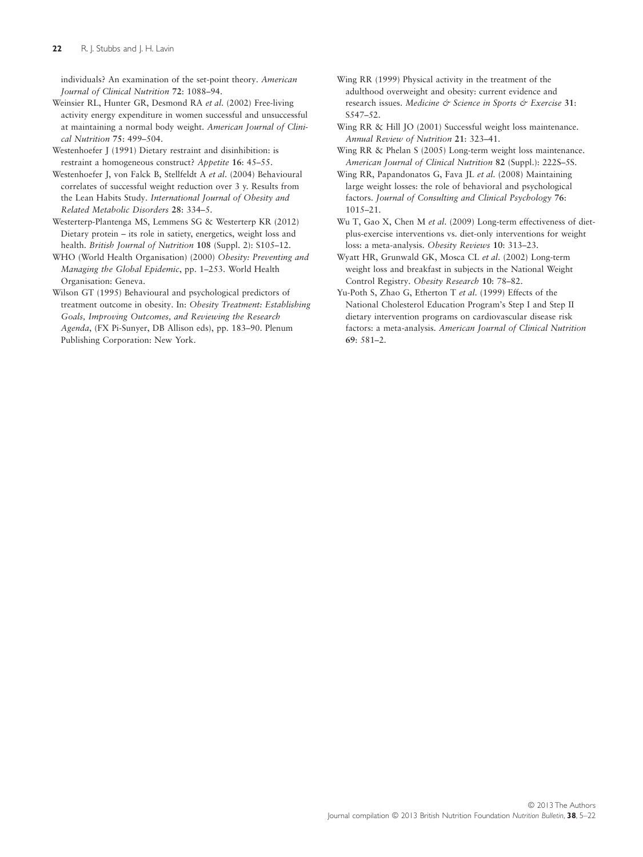individuals? An examination of the set-point theory. *American Journal of Clinical Nutrition* **72**: 1088–94.

Weinsier RL, Hunter GR, Desmond RA *et al*. (2002) Free-living activity energy expenditure in women successful and unsuccessful at maintaining a normal body weight. *American Journal of Clinical Nutrition* **75**: 499–504.

Westenhoefer J (1991) Dietary restraint and disinhibition: is restraint a homogeneous construct? *Appetite* **16**: 45–55.

Westenhoefer J, von Falck B, Stellfeldt A *et al*. (2004) Behavioural correlates of successful weight reduction over 3 y. Results from the Lean Habits Study. *International Journal of Obesity and Related Metabolic Disorders* **28**: 334–5.

Westerterp-Plantenga MS, Lemmens SG & Westerterp KR (2012) Dietary protein – its role in satiety, energetics, weight loss and health. *British Journal of Nutrition* **108** (Suppl. 2): S105–12.

WHO (World Health Organisation) (2000) *Obesity: Preventing and Managing the Global Epidemic*, pp. 1–253. World Health Organisation: Geneva.

Wilson GT (1995) Behavioural and psychological predictors of treatment outcome in obesity. In: *Obesity Treatment: Establishing Goals, Improving Outcomes, and Reviewing the Research Agenda*, (FX Pi-Sunyer, DB Allison eds), pp. 183–90. Plenum Publishing Corporation: New York.

Wing RR (1999) Physical activity in the treatment of the adulthood overweight and obesity: current evidence and research issues. *Medicine & Science in Sports & Exercise* **31**: S547–52.

Wing RR & Hill JO (2001) Successful weight loss maintenance. *Annual Review of Nutrition* **21**: 323–41.

Wing RR & Phelan S (2005) Long-term weight loss maintenance. *American Journal of Clinical Nutrition* **82** (Suppl.): 222S–5S.

Wing RR, Papandonatos G, Fava JL *et al*. (2008) Maintaining large weight losses: the role of behavioral and psychological factors. *Journal of Consulting and Clinical Psychology* **76**: 1015–21.

Wu T, Gao X, Chen M *et al*. (2009) Long-term effectiveness of dietplus-exercise interventions vs. diet-only interventions for weight loss: a meta-analysis. *Obesity Reviews* **10**: 313–23.

Wyatt HR, Grunwald GK, Mosca CL *et al*. (2002) Long-term weight loss and breakfast in subjects in the National Weight Control Registry. *Obesity Research* **10**: 78–82.

Yu-Poth S, Zhao G, Etherton T *et al*. (1999) Effects of the National Cholesterol Education Program's Step I and Step II dietary intervention programs on cardiovascular disease risk factors: a meta-analysis. *American Journal of Clinical Nutrition* **69**: 581–2.